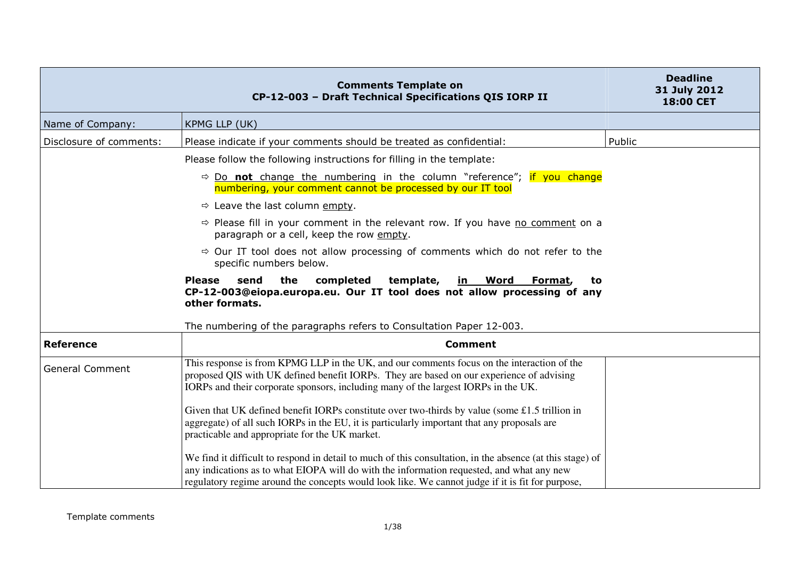|                         | <b>Comments Template on</b><br>CP-12-003 - Draft Technical Specifications QIS IORP II                                                                                                                                                                                                                      | <b>Deadline</b><br>31 July 2012<br>18:00 CET |
|-------------------------|------------------------------------------------------------------------------------------------------------------------------------------------------------------------------------------------------------------------------------------------------------------------------------------------------------|----------------------------------------------|
| Name of Company:        | KPMG LLP (UK)                                                                                                                                                                                                                                                                                              |                                              |
| Disclosure of comments: | Please indicate if your comments should be treated as confidential:                                                                                                                                                                                                                                        | Public                                       |
|                         | Please follow the following instructions for filling in the template:                                                                                                                                                                                                                                      |                                              |
|                         | $\Rightarrow$ Do <b>not</b> change the numbering in the column "reference"; if you change<br>numbering, your comment cannot be processed by our IT tool                                                                                                                                                    |                                              |
|                         | $\Rightarrow$ Leave the last column empty.                                                                                                                                                                                                                                                                 |                                              |
|                         | $\Rightarrow$ Please fill in your comment in the relevant row. If you have no comment on a<br>paragraph or a cell, keep the row empty.                                                                                                                                                                     |                                              |
|                         | $\Rightarrow$ Our IT tool does not allow processing of comments which do not refer to the<br>specific numbers below.                                                                                                                                                                                       |                                              |
|                         | the<br>send<br>completed<br>template,<br><b>Please</b><br><u>in Word</u><br>Format,<br>to.<br>CP-12-003@eiopa.europa.eu. Our IT tool does not allow processing of any<br>other formats.                                                                                                                    |                                              |
|                         | The numbering of the paragraphs refers to Consultation Paper 12-003.                                                                                                                                                                                                                                       |                                              |
| <b>Reference</b>        | <b>Comment</b>                                                                                                                                                                                                                                                                                             |                                              |
| <b>General Comment</b>  | This response is from KPMG LLP in the UK, and our comments focus on the interaction of the<br>proposed QIS with UK defined benefit IORPs. They are based on our experience of advising<br>IORPs and their corporate sponsors, including many of the largest IORPs in the UK.                               |                                              |
|                         | Given that UK defined benefit IORPs constitute over two-thirds by value (some £1.5 trillion in<br>aggregate) of all such IORPs in the EU, it is particularly important that any proposals are<br>practicable and appropriate for the UK market.                                                            |                                              |
|                         | We find it difficult to respond in detail to much of this consultation, in the absence (at this stage) of<br>any indications as to what EIOPA will do with the information requested, and what any new<br>regulatory regime around the concepts would look like. We cannot judge if it is fit for purpose, |                                              |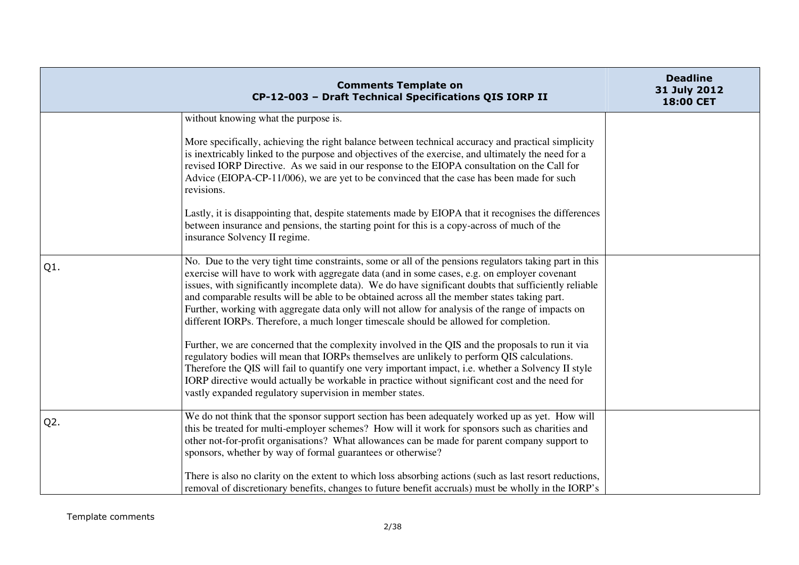|                  | <b>Comments Template on</b><br>CP-12-003 - Draft Technical Specifications QIS IORP II                                                                                                                                                                                                                                                                                                                                                                                                                                                                                                                        | <b>Deadline</b><br>31 July 2012<br>18:00 CET |
|------------------|--------------------------------------------------------------------------------------------------------------------------------------------------------------------------------------------------------------------------------------------------------------------------------------------------------------------------------------------------------------------------------------------------------------------------------------------------------------------------------------------------------------------------------------------------------------------------------------------------------------|----------------------------------------------|
|                  | without knowing what the purpose is.                                                                                                                                                                                                                                                                                                                                                                                                                                                                                                                                                                         |                                              |
|                  | More specifically, achieving the right balance between technical accuracy and practical simplicity<br>is inextricably linked to the purpose and objectives of the exercise, and ultimately the need for a<br>revised IORP Directive. As we said in our response to the EIOPA consultation on the Call for<br>Advice (EIOPA-CP-11/006), we are yet to be convinced that the case has been made for such<br>revisions.                                                                                                                                                                                         |                                              |
|                  | Lastly, it is disappointing that, despite statements made by EIOPA that it recognises the differences<br>between insurance and pensions, the starting point for this is a copy-across of much of the<br>insurance Solvency II regime.                                                                                                                                                                                                                                                                                                                                                                        |                                              |
| $Q1$ .           | No. Due to the very tight time constraints, some or all of the pensions regulators taking part in this<br>exercise will have to work with aggregate data (and in some cases, e.g. on employer covenant<br>issues, with significantly incomplete data). We do have significant doubts that sufficiently reliable<br>and comparable results will be able to be obtained across all the member states taking part.<br>Further, working with aggregate data only will not allow for analysis of the range of impacts on<br>different IORPs. Therefore, a much longer timescale should be allowed for completion. |                                              |
|                  | Further, we are concerned that the complexity involved in the QIS and the proposals to run it via<br>regulatory bodies will mean that IORPs themselves are unlikely to perform QIS calculations.<br>Therefore the QIS will fail to quantify one very important impact, i.e. whether a Solvency II style<br>IORP directive would actually be workable in practice without significant cost and the need for<br>vastly expanded regulatory supervision in member states.                                                                                                                                       |                                              |
| Q <sub>2</sub> . | We do not think that the sponsor support section has been adequately worked up as yet. How will<br>this be treated for multi-employer schemes? How will it work for sponsors such as charities and<br>other not-for-profit organisations? What allowances can be made for parent company support to<br>sponsors, whether by way of formal guarantees or otherwise?                                                                                                                                                                                                                                           |                                              |
|                  | There is also no clarity on the extent to which loss absorbing actions (such as last resort reductions,<br>removal of discretionary benefits, changes to future benefit accruals) must be wholly in the IORP's                                                                                                                                                                                                                                                                                                                                                                                               |                                              |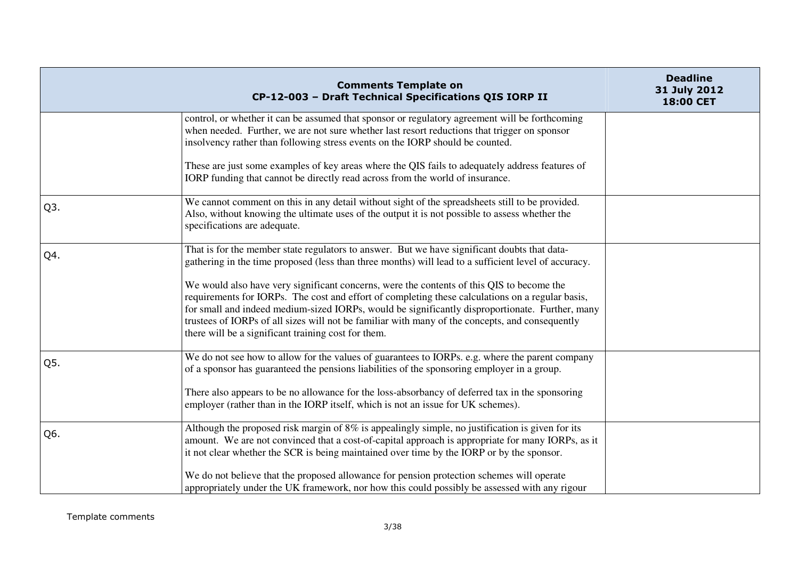|     | <b>Comments Template on</b><br>CP-12-003 - Draft Technical Specifications QIS IORP II                                                                                                                                                                                                                                                                                                                                                                      | <b>Deadline</b><br>31 July 2012<br>18:00 CET |
|-----|------------------------------------------------------------------------------------------------------------------------------------------------------------------------------------------------------------------------------------------------------------------------------------------------------------------------------------------------------------------------------------------------------------------------------------------------------------|----------------------------------------------|
|     | control, or whether it can be assumed that sponsor or regulatory agreement will be forthcoming<br>when needed. Further, we are not sure whether last resort reductions that trigger on sponsor<br>insolvency rather than following stress events on the IORP should be counted.                                                                                                                                                                            |                                              |
|     | These are just some examples of key areas where the QIS fails to adequately address features of<br>IORP funding that cannot be directly read across from the world of insurance.                                                                                                                                                                                                                                                                           |                                              |
| Q3. | We cannot comment on this in any detail without sight of the spreadsheets still to be provided.<br>Also, without knowing the ultimate uses of the output it is not possible to assess whether the<br>specifications are adequate.                                                                                                                                                                                                                          |                                              |
| Q4. | That is for the member state regulators to answer. But we have significant doubts that data-<br>gathering in the time proposed (less than three months) will lead to a sufficient level of accuracy.                                                                                                                                                                                                                                                       |                                              |
|     | We would also have very significant concerns, were the contents of this QIS to become the<br>requirements for IORPs. The cost and effort of completing these calculations on a regular basis,<br>for small and indeed medium-sized IORPs, would be significantly disproportionate. Further, many<br>trustees of IORPs of all sizes will not be familiar with many of the concepts, and consequently<br>there will be a significant training cost for them. |                                              |
| Q5. | We do not see how to allow for the values of guarantees to IORPs. e.g. where the parent company<br>of a sponsor has guaranteed the pensions liabilities of the sponsoring employer in a group.                                                                                                                                                                                                                                                             |                                              |
|     | There also appears to be no allowance for the loss-absorbancy of deferred tax in the sponsoring<br>employer (rather than in the IORP itself, which is not an issue for UK schemes).                                                                                                                                                                                                                                                                        |                                              |
| Q6. | Although the proposed risk margin of 8% is appealingly simple, no justification is given for its<br>amount. We are not convinced that a cost-of-capital approach is appropriate for many IORPs, as it<br>it not clear whether the SCR is being maintained over time by the IORP or by the sponsor.                                                                                                                                                         |                                              |
|     | We do not believe that the proposed allowance for pension protection schemes will operate<br>appropriately under the UK framework, nor how this could possibly be assessed with any rigour                                                                                                                                                                                                                                                                 |                                              |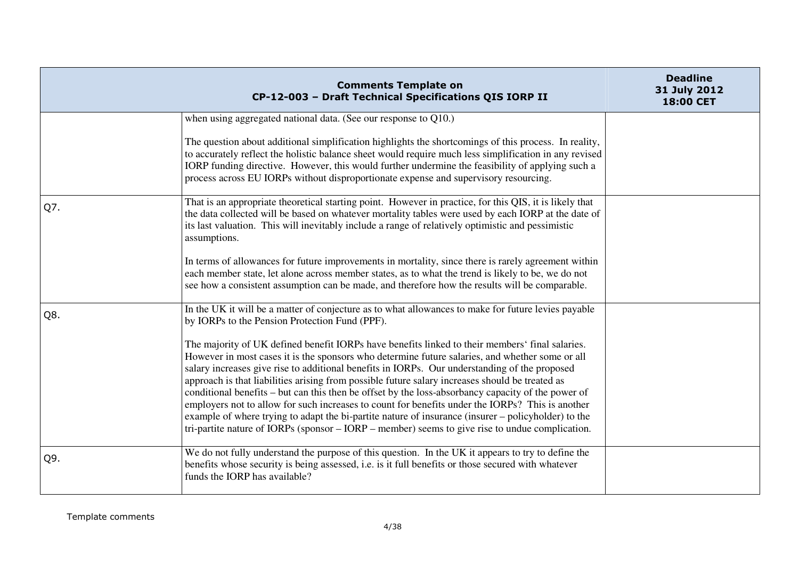|     | <b>Comments Template on</b><br>CP-12-003 - Draft Technical Specifications QIS IORP II                                                                                                                                                                                                                                                                                                                                                                                                                                                                                                                                                                                                                                                                                                                                      | <b>Deadline</b><br>31 July 2012<br>18:00 CET |
|-----|----------------------------------------------------------------------------------------------------------------------------------------------------------------------------------------------------------------------------------------------------------------------------------------------------------------------------------------------------------------------------------------------------------------------------------------------------------------------------------------------------------------------------------------------------------------------------------------------------------------------------------------------------------------------------------------------------------------------------------------------------------------------------------------------------------------------------|----------------------------------------------|
|     | when using aggregated national data. (See our response to Q10.)                                                                                                                                                                                                                                                                                                                                                                                                                                                                                                                                                                                                                                                                                                                                                            |                                              |
|     | The question about additional simplification highlights the shortcomings of this process. In reality,<br>to accurately reflect the holistic balance sheet would require much less simplification in any revised<br>IORP funding directive. However, this would further undermine the feasibility of applying such a<br>process across EU IORPs without disproportionate expense and supervisory resourcing.                                                                                                                                                                                                                                                                                                                                                                                                                |                                              |
| Q7. | That is an appropriate theoretical starting point. However in practice, for this QIS, it is likely that<br>the data collected will be based on whatever mortality tables were used by each IORP at the date of<br>its last valuation. This will inevitably include a range of relatively optimistic and pessimistic<br>assumptions.                                                                                                                                                                                                                                                                                                                                                                                                                                                                                        |                                              |
|     | In terms of allowances for future improvements in mortality, since there is rarely agreement within<br>each member state, let alone across member states, as to what the trend is likely to be, we do not<br>see how a consistent assumption can be made, and therefore how the results will be comparable.                                                                                                                                                                                                                                                                                                                                                                                                                                                                                                                |                                              |
| Q8. | In the UK it will be a matter of conjecture as to what allowances to make for future levies payable<br>by IORPs to the Pension Protection Fund (PPF).                                                                                                                                                                                                                                                                                                                                                                                                                                                                                                                                                                                                                                                                      |                                              |
|     | The majority of UK defined benefit IORPs have benefits linked to their members' final salaries.<br>However in most cases it is the sponsors who determine future salaries, and whether some or all<br>salary increases give rise to additional benefits in IORPs. Our understanding of the proposed<br>approach is that liabilities arising from possible future salary increases should be treated as<br>conditional benefits – but can this then be offset by the loss-absorbancy capacity of the power of<br>employers not to allow for such increases to count for benefits under the IORPs? This is another<br>example of where trying to adapt the bi-partite nature of insurance (insurer – policyholder) to the<br>tri-partite nature of IORPs (sponsor – IORP – member) seems to give rise to undue complication. |                                              |
| Q9. | We do not fully understand the purpose of this question. In the UK it appears to try to define the<br>benefits whose security is being assessed, i.e. is it full benefits or those secured with whatever<br>funds the IORP has available?                                                                                                                                                                                                                                                                                                                                                                                                                                                                                                                                                                                  |                                              |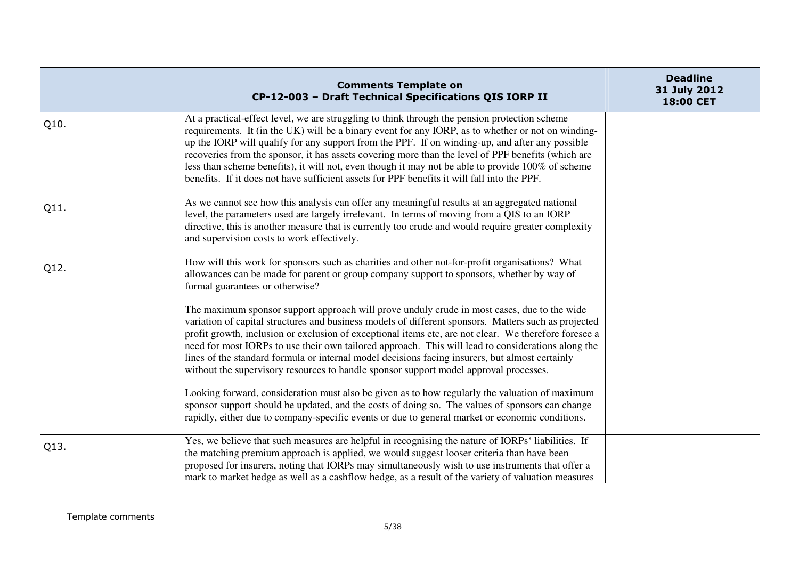|      | <b>Comments Template on</b><br>CP-12-003 - Draft Technical Specifications QIS IORP II                                                                                                                                                                                                                                                                                                                                                                                                                                                                                                                            | <b>Deadline</b><br>31 July 2012<br>18:00 CET |
|------|------------------------------------------------------------------------------------------------------------------------------------------------------------------------------------------------------------------------------------------------------------------------------------------------------------------------------------------------------------------------------------------------------------------------------------------------------------------------------------------------------------------------------------------------------------------------------------------------------------------|----------------------------------------------|
| Q10. | At a practical-effect level, we are struggling to think through the pension protection scheme<br>requirements. It (in the UK) will be a binary event for any IORP, as to whether or not on winding-<br>up the IORP will qualify for any support from the PPF. If on winding-up, and after any possible<br>recoveries from the sponsor, it has assets covering more than the level of PPF benefits (which are<br>less than scheme benefits), it will not, even though it may not be able to provide 100% of scheme<br>benefits. If it does not have sufficient assets for PPF benefits it will fall into the PPF. |                                              |
| Q11. | As we cannot see how this analysis can offer any meaningful results at an aggregated national<br>level, the parameters used are largely irrelevant. In terms of moving from a QIS to an IORP<br>directive, this is another measure that is currently too crude and would require greater complexity<br>and supervision costs to work effectively.                                                                                                                                                                                                                                                                |                                              |
| Q12. | How will this work for sponsors such as charities and other not-for-profit organisations? What<br>allowances can be made for parent or group company support to sponsors, whether by way of<br>formal guarantees or otherwise?                                                                                                                                                                                                                                                                                                                                                                                   |                                              |
|      | The maximum sponsor support approach will prove unduly crude in most cases, due to the wide<br>variation of capital structures and business models of different sponsors. Matters such as projected<br>profit growth, inclusion or exclusion of exceptional items etc, are not clear. We therefore foresee a<br>need for most IORPs to use their own tailored approach. This will lead to considerations along the<br>lines of the standard formula or internal model decisions facing insurers, but almost certainly<br>without the supervisory resources to handle sponsor support model approval processes.   |                                              |
|      | Looking forward, consideration must also be given as to how regularly the valuation of maximum<br>sponsor support should be updated, and the costs of doing so. The values of sponsors can change<br>rapidly, either due to company-specific events or due to general market or economic conditions.                                                                                                                                                                                                                                                                                                             |                                              |
| Q13. | Yes, we believe that such measures are helpful in recognising the nature of IORPs' liabilities. If<br>the matching premium approach is applied, we would suggest looser criteria than have been<br>proposed for insurers, noting that IORPs may simultaneously wish to use instruments that offer a<br>mark to market hedge as well as a cashflow hedge, as a result of the variety of valuation measures                                                                                                                                                                                                        |                                              |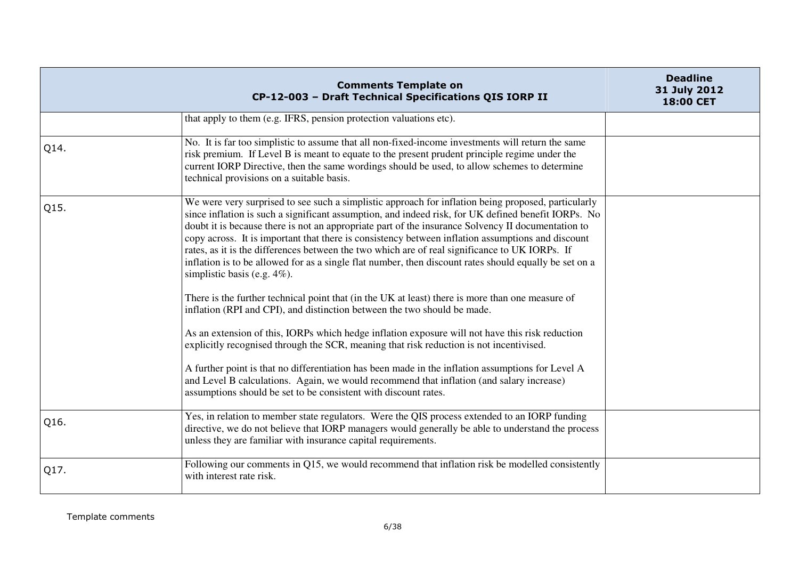|      | <b>Comments Template on</b><br>CP-12-003 - Draft Technical Specifications QIS IORP II                                                                                                                                                                                                                                                                                                                                                                                                                                                                                                                                                                                                                                                                                                                                                                                                                                                                                                                                                                                                                                                                                                                                                                                                                                  | <b>Deadline</b><br>31 July 2012<br>18:00 CET |
|------|------------------------------------------------------------------------------------------------------------------------------------------------------------------------------------------------------------------------------------------------------------------------------------------------------------------------------------------------------------------------------------------------------------------------------------------------------------------------------------------------------------------------------------------------------------------------------------------------------------------------------------------------------------------------------------------------------------------------------------------------------------------------------------------------------------------------------------------------------------------------------------------------------------------------------------------------------------------------------------------------------------------------------------------------------------------------------------------------------------------------------------------------------------------------------------------------------------------------------------------------------------------------------------------------------------------------|----------------------------------------------|
|      | that apply to them (e.g. IFRS, pension protection valuations etc).                                                                                                                                                                                                                                                                                                                                                                                                                                                                                                                                                                                                                                                                                                                                                                                                                                                                                                                                                                                                                                                                                                                                                                                                                                                     |                                              |
| Q14. | No. It is far too simplistic to assume that all non-fixed-income investments will return the same<br>risk premium. If Level B is meant to equate to the present prudent principle regime under the<br>current IORP Directive, then the same wordings should be used, to allow schemes to determine<br>technical provisions on a suitable basis.                                                                                                                                                                                                                                                                                                                                                                                                                                                                                                                                                                                                                                                                                                                                                                                                                                                                                                                                                                        |                                              |
| Q15. | We were very surprised to see such a simplistic approach for inflation being proposed, particularly<br>since inflation is such a significant assumption, and indeed risk, for UK defined benefit IORPs. No<br>doubt it is because there is not an appropriate part of the insurance Solvency II documentation to<br>copy across. It is important that there is consistency between inflation assumptions and discount<br>rates, as it is the differences between the two which are of real significance to UK IORPs. If<br>inflation is to be allowed for as a single flat number, then discount rates should equally be set on a<br>simplistic basis (e.g. $4\%$ ).<br>There is the further technical point that (in the UK at least) there is more than one measure of<br>inflation (RPI and CPI), and distinction between the two should be made.<br>As an extension of this, IORPs which hedge inflation exposure will not have this risk reduction<br>explicitly recognised through the SCR, meaning that risk reduction is not incentivised.<br>A further point is that no differentiation has been made in the inflation assumptions for Level A<br>and Level B calculations. Again, we would recommend that inflation (and salary increase)<br>assumptions should be set to be consistent with discount rates. |                                              |
| Q16. | Yes, in relation to member state regulators. Were the QIS process extended to an IORP funding<br>directive, we do not believe that IORP managers would generally be able to understand the process<br>unless they are familiar with insurance capital requirements.                                                                                                                                                                                                                                                                                                                                                                                                                                                                                                                                                                                                                                                                                                                                                                                                                                                                                                                                                                                                                                                    |                                              |
| Q17. | Following our comments in Q15, we would recommend that inflation risk be modelled consistently<br>with interest rate risk.                                                                                                                                                                                                                                                                                                                                                                                                                                                                                                                                                                                                                                                                                                                                                                                                                                                                                                                                                                                                                                                                                                                                                                                             |                                              |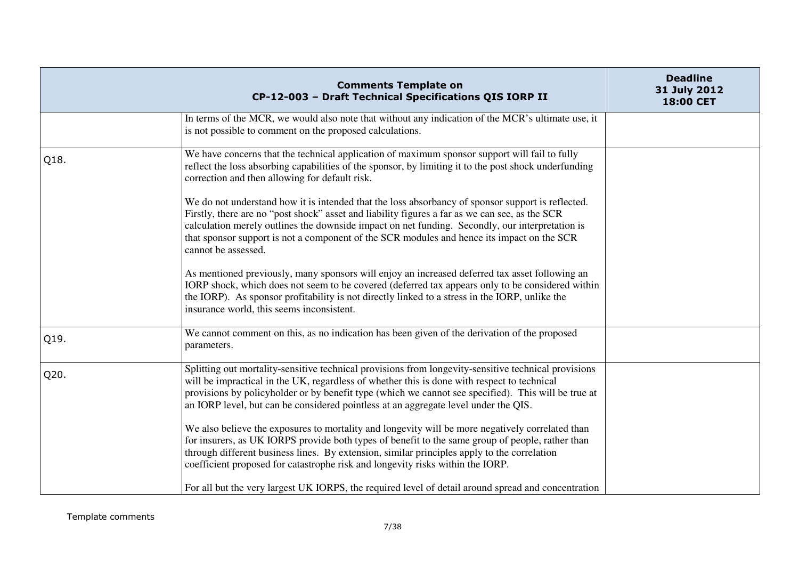|      | <b>Comments Template on</b><br>CP-12-003 - Draft Technical Specifications QIS IORP II                                                                                                                                                                                                                                                                                                                                                                                                                                                                                                                                                                                                                                                                                                                                                                                                                                                                                                                                                        | <b>Deadline</b><br>31 July 2012<br>18:00 CET |
|------|----------------------------------------------------------------------------------------------------------------------------------------------------------------------------------------------------------------------------------------------------------------------------------------------------------------------------------------------------------------------------------------------------------------------------------------------------------------------------------------------------------------------------------------------------------------------------------------------------------------------------------------------------------------------------------------------------------------------------------------------------------------------------------------------------------------------------------------------------------------------------------------------------------------------------------------------------------------------------------------------------------------------------------------------|----------------------------------------------|
|      | In terms of the MCR, we would also note that without any indication of the MCR's ultimate use, it<br>is not possible to comment on the proposed calculations.                                                                                                                                                                                                                                                                                                                                                                                                                                                                                                                                                                                                                                                                                                                                                                                                                                                                                |                                              |
| Q18. | We have concerns that the technical application of maximum sponsor support will fail to fully<br>reflect the loss absorbing capabilities of the sponsor, by limiting it to the post shock underfunding<br>correction and then allowing for default risk.<br>We do not understand how it is intended that the loss absorbancy of sponsor support is reflected.<br>Firstly, there are no "post shock" asset and liability figures a far as we can see, as the SCR<br>calculation merely outlines the downside impact on net funding. Secondly, our interpretation is<br>that sponsor support is not a component of the SCR modules and hence its impact on the SCR<br>cannot be assessed.<br>As mentioned previously, many sponsors will enjoy an increased deferred tax asset following an<br>IORP shock, which does not seem to be covered (deferred tax appears only to be considered within<br>the IORP). As sponsor profitability is not directly linked to a stress in the IORP, unlike the<br>insurance world, this seems inconsistent. |                                              |
| Q19. | We cannot comment on this, as no indication has been given of the derivation of the proposed<br>parameters.                                                                                                                                                                                                                                                                                                                                                                                                                                                                                                                                                                                                                                                                                                                                                                                                                                                                                                                                  |                                              |
| Q20. | Splitting out mortality-sensitive technical provisions from longevity-sensitive technical provisions<br>will be impractical in the UK, regardless of whether this is done with respect to technical<br>provisions by policyholder or by benefit type (which we cannot see specified). This will be true at<br>an IORP level, but can be considered pointless at an aggregate level under the QIS.<br>We also believe the exposures to mortality and longevity will be more negatively correlated than<br>for insurers, as UK IORPS provide both types of benefit to the same group of people, rather than<br>through different business lines. By extension, similar principles apply to the correlation<br>coefficient proposed for catastrophe risk and longevity risks within the IORP.<br>For all but the very largest UK IORPS, the required level of detail around spread and concentration                                                                                                                                            |                                              |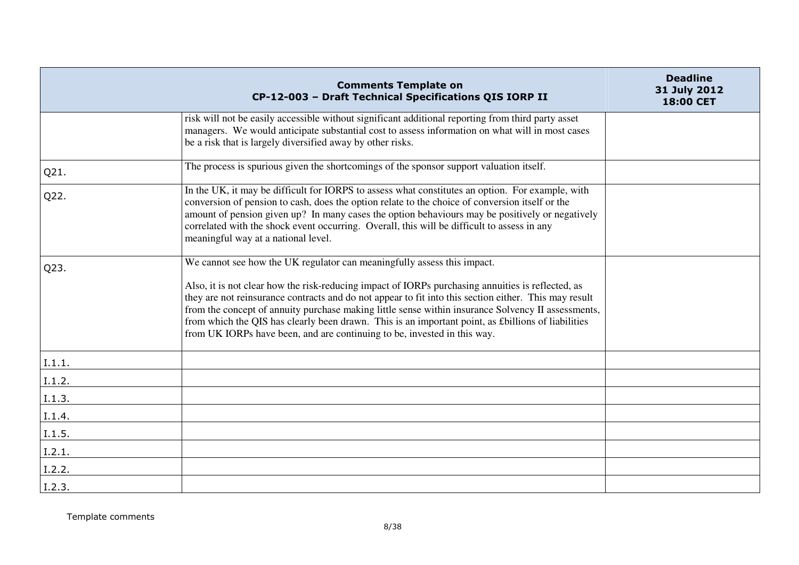|        | <b>Comments Template on</b><br>CP-12-003 - Draft Technical Specifications QIS IORP II                                                                                                                                                                                                                                                                                                                                                                                                              | <b>Deadline</b><br>31 July 2012<br>18:00 CET |
|--------|----------------------------------------------------------------------------------------------------------------------------------------------------------------------------------------------------------------------------------------------------------------------------------------------------------------------------------------------------------------------------------------------------------------------------------------------------------------------------------------------------|----------------------------------------------|
|        | risk will not be easily accessible without significant additional reporting from third party asset<br>managers. We would anticipate substantial cost to assess information on what will in most cases<br>be a risk that is largely diversified away by other risks.                                                                                                                                                                                                                                |                                              |
| Q21.   | The process is spurious given the shortcomings of the sponsor support valuation itself.                                                                                                                                                                                                                                                                                                                                                                                                            |                                              |
| Q22.   | In the UK, it may be difficult for IORPS to assess what constitutes an option. For example, with<br>conversion of pension to cash, does the option relate to the choice of conversion itself or the<br>amount of pension given up? In many cases the option behaviours may be positively or negatively<br>correlated with the shock event occurring. Overall, this will be difficult to assess in any<br>meaningful way at a national level.                                                       |                                              |
| Q23.   | We cannot see how the UK regulator can meaningfully assess this impact.                                                                                                                                                                                                                                                                                                                                                                                                                            |                                              |
|        | Also, it is not clear how the risk-reducing impact of IORPs purchasing annuities is reflected, as<br>they are not reinsurance contracts and do not appear to fit into this section either. This may result<br>from the concept of annuity purchase making little sense within insurance Solvency II assessments,<br>from which the QIS has clearly been drawn. This is an important point, as £billions of liabilities<br>from UK IORPs have been, and are continuing to be, invested in this way. |                                              |
| I.1.1. |                                                                                                                                                                                                                                                                                                                                                                                                                                                                                                    |                                              |
| I.1.2. |                                                                                                                                                                                                                                                                                                                                                                                                                                                                                                    |                                              |
| I.1.3. |                                                                                                                                                                                                                                                                                                                                                                                                                                                                                                    |                                              |
| I.1.4. |                                                                                                                                                                                                                                                                                                                                                                                                                                                                                                    |                                              |
| I.1.5. |                                                                                                                                                                                                                                                                                                                                                                                                                                                                                                    |                                              |
| I.2.1. |                                                                                                                                                                                                                                                                                                                                                                                                                                                                                                    |                                              |
| I.2.2. |                                                                                                                                                                                                                                                                                                                                                                                                                                                                                                    |                                              |
| I.2.3. |                                                                                                                                                                                                                                                                                                                                                                                                                                                                                                    |                                              |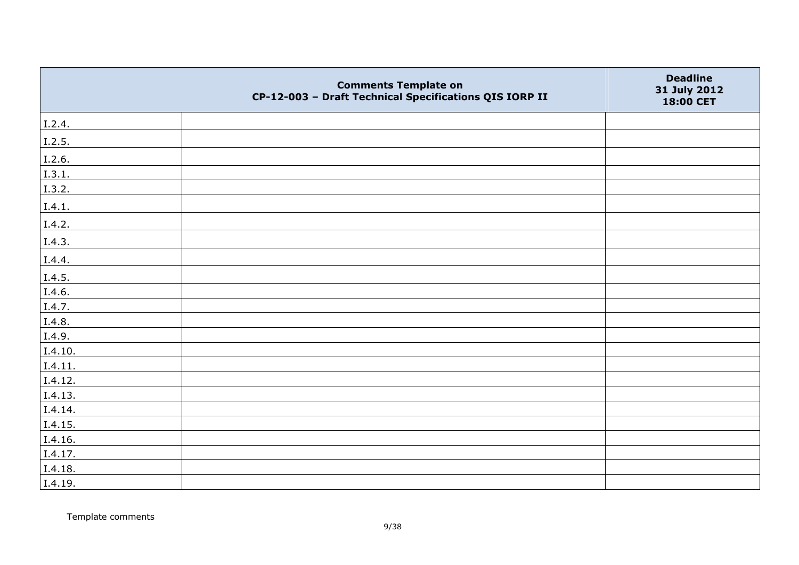|         | <b>Comments Template on</b><br>CP-12-003 - Draft Technical Specifications QIS IORP II | <b>Deadline</b><br>31 July 2012<br>18:00 CET |
|---------|---------------------------------------------------------------------------------------|----------------------------------------------|
| I.2.4.  |                                                                                       |                                              |
| I.2.5.  |                                                                                       |                                              |
| I.2.6.  |                                                                                       |                                              |
| I.3.1.  |                                                                                       |                                              |
| I.3.2.  |                                                                                       |                                              |
| I.4.1.  |                                                                                       |                                              |
| I.4.2.  |                                                                                       |                                              |
| I.4.3.  |                                                                                       |                                              |
| I.4.4.  |                                                                                       |                                              |
| I.4.5.  |                                                                                       |                                              |
| I.4.6.  |                                                                                       |                                              |
| I.4.7.  |                                                                                       |                                              |
| I.4.8.  |                                                                                       |                                              |
| I.4.9.  |                                                                                       |                                              |
| I.4.10. |                                                                                       |                                              |
| I.4.11. |                                                                                       |                                              |
| I.4.12. |                                                                                       |                                              |
| I.4.13. |                                                                                       |                                              |
| I.4.14. |                                                                                       |                                              |
| I.4.15. |                                                                                       |                                              |
| I.4.16. |                                                                                       |                                              |
| I.4.17. |                                                                                       |                                              |
| I.4.18. |                                                                                       |                                              |
| I.4.19. |                                                                                       |                                              |

Template comments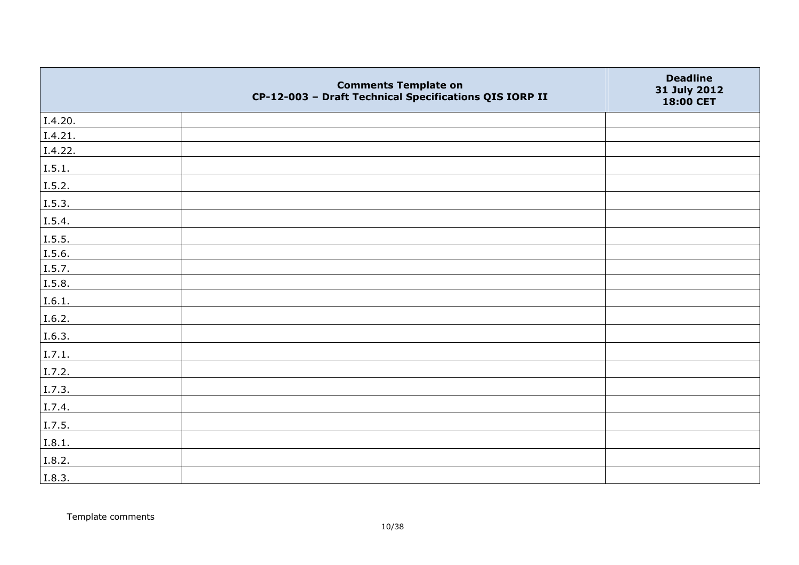|         | <b>Comments Template on</b><br>CP-12-003 - Draft Technical Specifications QIS IORP II | <b>Deadline</b><br>31 July 2012<br>18:00 CET |
|---------|---------------------------------------------------------------------------------------|----------------------------------------------|
| I.4.20. |                                                                                       |                                              |
| I.4.21. |                                                                                       |                                              |
| I.4.22. |                                                                                       |                                              |
| I.5.1.  |                                                                                       |                                              |
| 1.5.2.  |                                                                                       |                                              |
| I.5.3.  |                                                                                       |                                              |
| I.5.4.  |                                                                                       |                                              |
| I.5.5.  |                                                                                       |                                              |
| I.5.6.  |                                                                                       |                                              |
| I.5.7.  |                                                                                       |                                              |
| I.5.8.  |                                                                                       |                                              |
| I.6.1.  |                                                                                       |                                              |
| I.6.2.  |                                                                                       |                                              |
| I.6.3.  |                                                                                       |                                              |
| I.7.1.  |                                                                                       |                                              |
| I.7.2.  |                                                                                       |                                              |
| I.7.3.  |                                                                                       |                                              |
| I.7.4.  |                                                                                       |                                              |
| I.7.5.  |                                                                                       |                                              |
| I.8.1.  |                                                                                       |                                              |
| I.8.2.  |                                                                                       |                                              |
| I.8.3.  |                                                                                       |                                              |

Template comments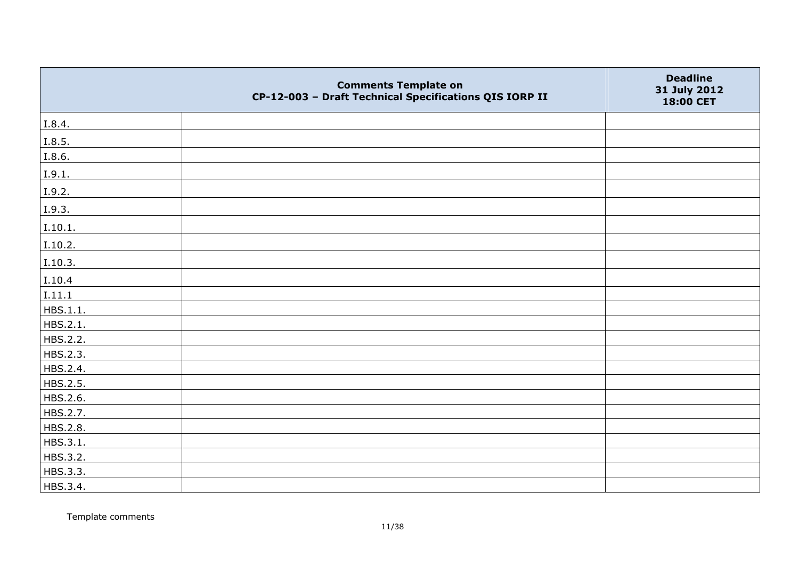|          | <b>Comments Template on</b><br>CP-12-003 - Draft Technical Specifications QIS IORP II | <b>Deadline</b><br>31 July 2012<br>18:00 CET |
|----------|---------------------------------------------------------------------------------------|----------------------------------------------|
| I.8.4.   |                                                                                       |                                              |
| I.8.5.   |                                                                                       |                                              |
| I.8.6.   |                                                                                       |                                              |
| I.9.1.   |                                                                                       |                                              |
| I.9.2.   |                                                                                       |                                              |
| I.9.3.   |                                                                                       |                                              |
| I.10.1.  |                                                                                       |                                              |
| I.10.2.  |                                                                                       |                                              |
| I.10.3.  |                                                                                       |                                              |
| I.10.4   |                                                                                       |                                              |
| I.11.1   |                                                                                       |                                              |
| HBS.1.1. |                                                                                       |                                              |
| HBS.2.1. |                                                                                       |                                              |
| HBS.2.2. |                                                                                       |                                              |
| HBS.2.3. |                                                                                       |                                              |
| HBS.2.4. |                                                                                       |                                              |
| HBS.2.5. |                                                                                       |                                              |
| HBS.2.6. |                                                                                       |                                              |
| HBS.2.7. |                                                                                       |                                              |
| HBS.2.8. |                                                                                       |                                              |
| HBS.3.1. |                                                                                       |                                              |
| HBS.3.2. |                                                                                       |                                              |
| HBS.3.3. |                                                                                       |                                              |
| HBS.3.4. |                                                                                       |                                              |

Template comments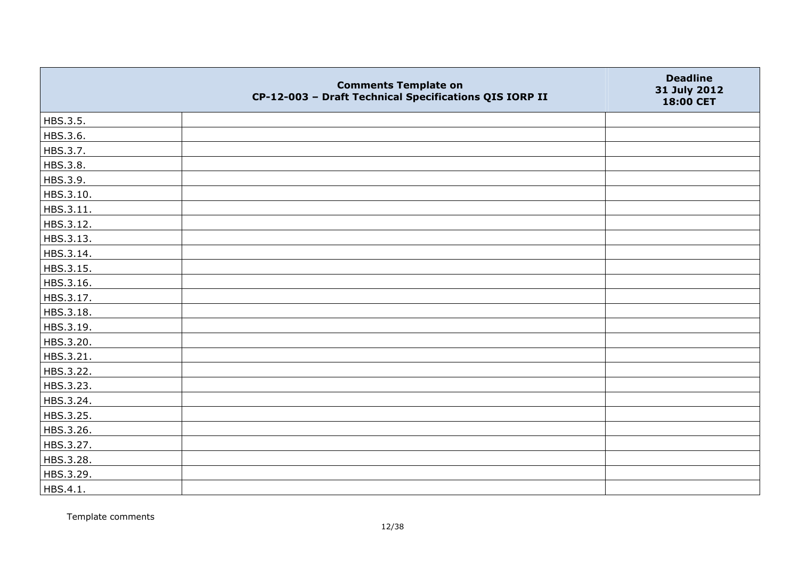|           | <b>Comments Template on</b><br>CP-12-003 - Draft Technical Specifications QIS IORP II | <b>Deadline</b><br>31 July 2012<br>18:00 CET |
|-----------|---------------------------------------------------------------------------------------|----------------------------------------------|
| HBS.3.5.  |                                                                                       |                                              |
| HBS.3.6.  |                                                                                       |                                              |
| HBS.3.7.  |                                                                                       |                                              |
| HBS.3.8.  |                                                                                       |                                              |
| HBS.3.9.  |                                                                                       |                                              |
| HBS.3.10. |                                                                                       |                                              |
| HBS.3.11. |                                                                                       |                                              |
| HBS.3.12. |                                                                                       |                                              |
| HBS.3.13. |                                                                                       |                                              |
| HBS.3.14. |                                                                                       |                                              |
| HBS.3.15. |                                                                                       |                                              |
| HBS.3.16. |                                                                                       |                                              |
| HBS.3.17. |                                                                                       |                                              |
| HBS.3.18. |                                                                                       |                                              |
| HBS.3.19. |                                                                                       |                                              |
| HBS.3.20. |                                                                                       |                                              |
| HBS.3.21. |                                                                                       |                                              |
| HBS.3.22. |                                                                                       |                                              |
| HBS.3.23. |                                                                                       |                                              |
| HBS.3.24. |                                                                                       |                                              |
| HBS.3.25. |                                                                                       |                                              |
| HBS.3.26. |                                                                                       |                                              |
| HBS.3.27. |                                                                                       |                                              |
| HBS.3.28. |                                                                                       |                                              |
| HBS.3.29. |                                                                                       |                                              |
| HBS.4.1.  |                                                                                       |                                              |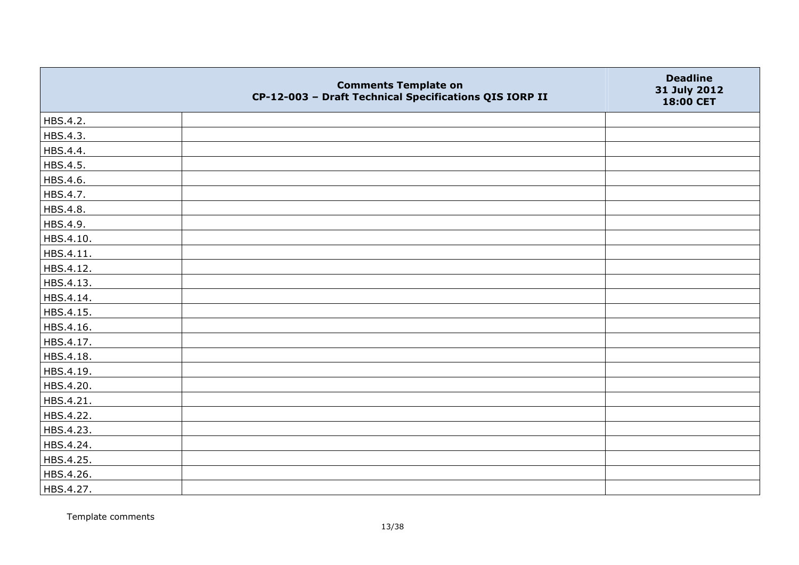|           | <b>Comments Template on</b><br>CP-12-003 - Draft Technical Specifications QIS IORP II | <b>Deadline</b><br>31 July 2012<br>18:00 CET |
|-----------|---------------------------------------------------------------------------------------|----------------------------------------------|
| HBS.4.2.  |                                                                                       |                                              |
| HBS.4.3.  |                                                                                       |                                              |
| HBS.4.4.  |                                                                                       |                                              |
| HBS.4.5.  |                                                                                       |                                              |
| HBS.4.6.  |                                                                                       |                                              |
| HBS.4.7.  |                                                                                       |                                              |
| HBS.4.8.  |                                                                                       |                                              |
| HBS.4.9.  |                                                                                       |                                              |
| HBS.4.10. |                                                                                       |                                              |
| HBS.4.11. |                                                                                       |                                              |
| HBS.4.12. |                                                                                       |                                              |
| HBS.4.13. |                                                                                       |                                              |
| HBS.4.14. |                                                                                       |                                              |
| HBS.4.15. |                                                                                       |                                              |
| HBS.4.16. |                                                                                       |                                              |
| HBS.4.17. |                                                                                       |                                              |
| HBS.4.18. |                                                                                       |                                              |
| HBS.4.19. |                                                                                       |                                              |
| HBS.4.20. |                                                                                       |                                              |
| HBS.4.21. |                                                                                       |                                              |
| HBS.4.22. |                                                                                       |                                              |
| HBS.4.23. |                                                                                       |                                              |
| HBS.4.24. |                                                                                       |                                              |
| HBS.4.25. |                                                                                       |                                              |
| HBS.4.26. |                                                                                       |                                              |
| HBS.4.27. |                                                                                       |                                              |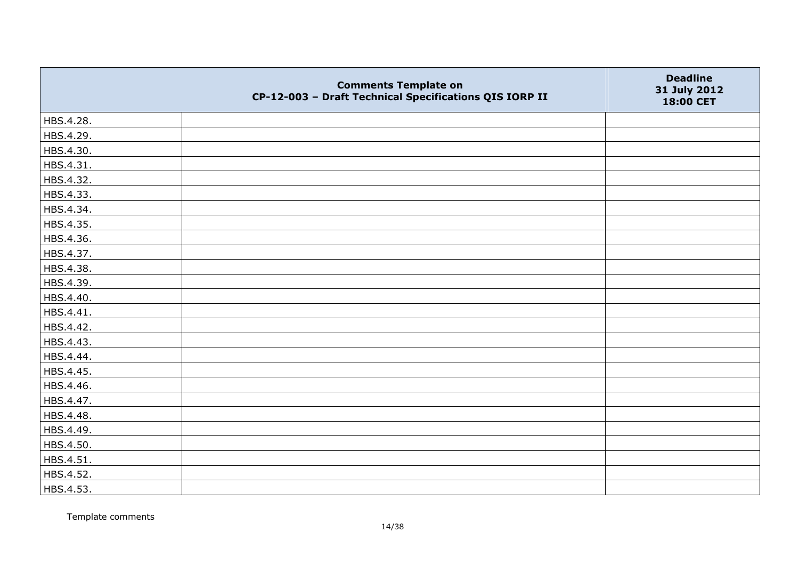|           | <b>Comments Template on</b><br>CP-12-003 - Draft Technical Specifications QIS IORP II | <b>Deadline</b><br>31 July 2012<br>18:00 CET |
|-----------|---------------------------------------------------------------------------------------|----------------------------------------------|
| HBS.4.28. |                                                                                       |                                              |
| HBS.4.29. |                                                                                       |                                              |
| HBS.4.30. |                                                                                       |                                              |
| HBS.4.31. |                                                                                       |                                              |
| HBS.4.32. |                                                                                       |                                              |
| HBS.4.33. |                                                                                       |                                              |
| HBS.4.34. |                                                                                       |                                              |
| HBS.4.35. |                                                                                       |                                              |
| HBS.4.36. |                                                                                       |                                              |
| HBS.4.37. |                                                                                       |                                              |
| HBS.4.38. |                                                                                       |                                              |
| HBS.4.39. |                                                                                       |                                              |
| HBS.4.40. |                                                                                       |                                              |
| HBS.4.41. |                                                                                       |                                              |
| HBS.4.42. |                                                                                       |                                              |
| HBS.4.43. |                                                                                       |                                              |
| HBS.4.44. |                                                                                       |                                              |
| HBS.4.45. |                                                                                       |                                              |
| HBS.4.46. |                                                                                       |                                              |
| HBS.4.47. |                                                                                       |                                              |
| HBS.4.48. |                                                                                       |                                              |
| HBS.4.49. |                                                                                       |                                              |
| HBS.4.50. |                                                                                       |                                              |
| HBS.4.51. |                                                                                       |                                              |
| HBS.4.52. |                                                                                       |                                              |
| HBS.4.53. |                                                                                       |                                              |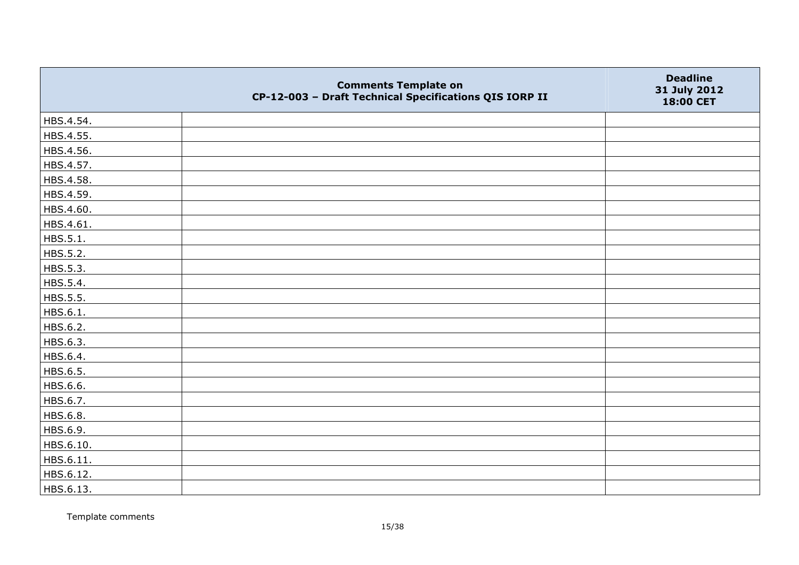|           | <b>Comments Template on</b><br>CP-12-003 - Draft Technical Specifications QIS IORP II | <b>Deadline</b><br>31 July 2012<br>18:00 CET |
|-----------|---------------------------------------------------------------------------------------|----------------------------------------------|
| HBS.4.54. |                                                                                       |                                              |
| HBS.4.55. |                                                                                       |                                              |
| HBS.4.56. |                                                                                       |                                              |
| HBS.4.57. |                                                                                       |                                              |
| HBS.4.58. |                                                                                       |                                              |
| HBS.4.59. |                                                                                       |                                              |
| HBS.4.60. |                                                                                       |                                              |
| HBS.4.61. |                                                                                       |                                              |
| HBS.5.1.  |                                                                                       |                                              |
| HBS.5.2.  |                                                                                       |                                              |
| HBS.5.3.  |                                                                                       |                                              |
| HBS.5.4.  |                                                                                       |                                              |
| HBS.5.5.  |                                                                                       |                                              |
| HBS.6.1.  |                                                                                       |                                              |
| HBS.6.2.  |                                                                                       |                                              |
| HBS.6.3.  |                                                                                       |                                              |
| HBS.6.4.  |                                                                                       |                                              |
| HBS.6.5.  |                                                                                       |                                              |
| HBS.6.6.  |                                                                                       |                                              |
| HBS.6.7.  |                                                                                       |                                              |
| HBS.6.8.  |                                                                                       |                                              |
| HBS.6.9.  |                                                                                       |                                              |
| HBS.6.10. |                                                                                       |                                              |
| HBS.6.11. |                                                                                       |                                              |
| HBS.6.12. |                                                                                       |                                              |
| HBS.6.13. |                                                                                       |                                              |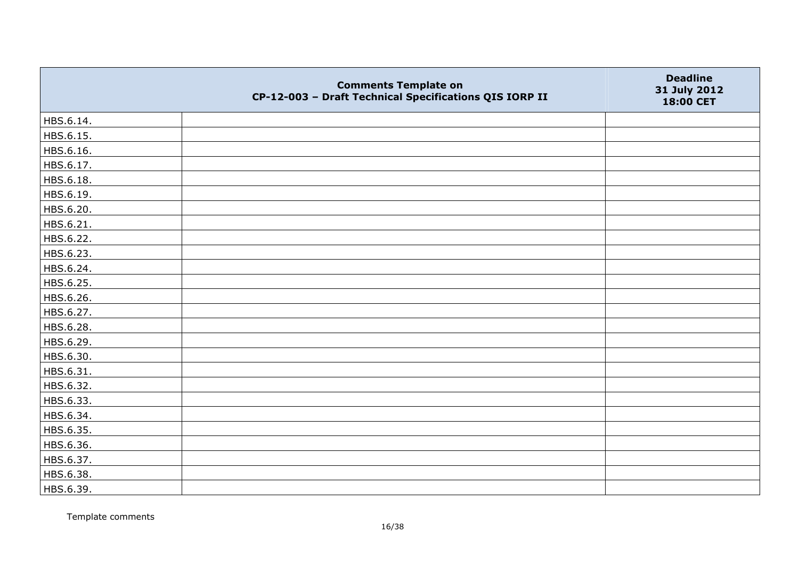|           | <b>Comments Template on</b><br>CP-12-003 - Draft Technical Specifications QIS IORP II | <b>Deadline</b><br>31 July 2012<br>18:00 CET |
|-----------|---------------------------------------------------------------------------------------|----------------------------------------------|
| HBS.6.14. |                                                                                       |                                              |
| HBS.6.15. |                                                                                       |                                              |
| HBS.6.16. |                                                                                       |                                              |
| HBS.6.17. |                                                                                       |                                              |
| HBS.6.18. |                                                                                       |                                              |
| HBS.6.19. |                                                                                       |                                              |
| HBS.6.20. |                                                                                       |                                              |
| HBS.6.21. |                                                                                       |                                              |
| HBS.6.22. |                                                                                       |                                              |
| HBS.6.23. |                                                                                       |                                              |
| HBS.6.24. |                                                                                       |                                              |
| HBS.6.25. |                                                                                       |                                              |
| HBS.6.26. |                                                                                       |                                              |
| HBS.6.27. |                                                                                       |                                              |
| HBS.6.28. |                                                                                       |                                              |
| HBS.6.29. |                                                                                       |                                              |
| HBS.6.30. |                                                                                       |                                              |
| HBS.6.31. |                                                                                       |                                              |
| HBS.6.32. |                                                                                       |                                              |
| HBS.6.33. |                                                                                       |                                              |
| HBS.6.34. |                                                                                       |                                              |
| HBS.6.35. |                                                                                       |                                              |
| HBS.6.36. |                                                                                       |                                              |
| HBS.6.37. |                                                                                       |                                              |
| HBS.6.38. |                                                                                       |                                              |
| HBS.6.39. |                                                                                       |                                              |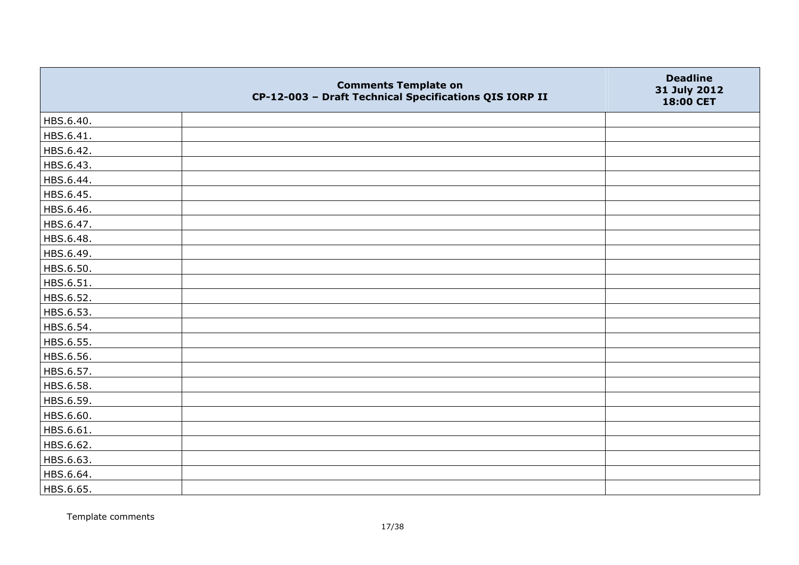|           | <b>Comments Template on</b><br>CP-12-003 - Draft Technical Specifications QIS IORP II | <b>Deadline</b><br>31 July 2012<br>18:00 CET |
|-----------|---------------------------------------------------------------------------------------|----------------------------------------------|
| HBS.6.40. |                                                                                       |                                              |
| HBS.6.41. |                                                                                       |                                              |
| HBS.6.42. |                                                                                       |                                              |
| HBS.6.43. |                                                                                       |                                              |
| HBS.6.44. |                                                                                       |                                              |
| HBS.6.45. |                                                                                       |                                              |
| HBS.6.46. |                                                                                       |                                              |
| HBS.6.47. |                                                                                       |                                              |
| HBS.6.48. |                                                                                       |                                              |
| HBS.6.49. |                                                                                       |                                              |
| HBS.6.50. |                                                                                       |                                              |
| HBS.6.51. |                                                                                       |                                              |
| HBS.6.52. |                                                                                       |                                              |
| HBS.6.53. |                                                                                       |                                              |
| HBS.6.54. |                                                                                       |                                              |
| HBS.6.55. |                                                                                       |                                              |
| HBS.6.56. |                                                                                       |                                              |
| HBS.6.57. |                                                                                       |                                              |
| HBS.6.58. |                                                                                       |                                              |
| HBS.6.59. |                                                                                       |                                              |
| HBS.6.60. |                                                                                       |                                              |
| HBS.6.61. |                                                                                       |                                              |
| HBS.6.62. |                                                                                       |                                              |
| HBS.6.63. |                                                                                       |                                              |
| HBS.6.64. |                                                                                       |                                              |
| HBS.6.65. |                                                                                       |                                              |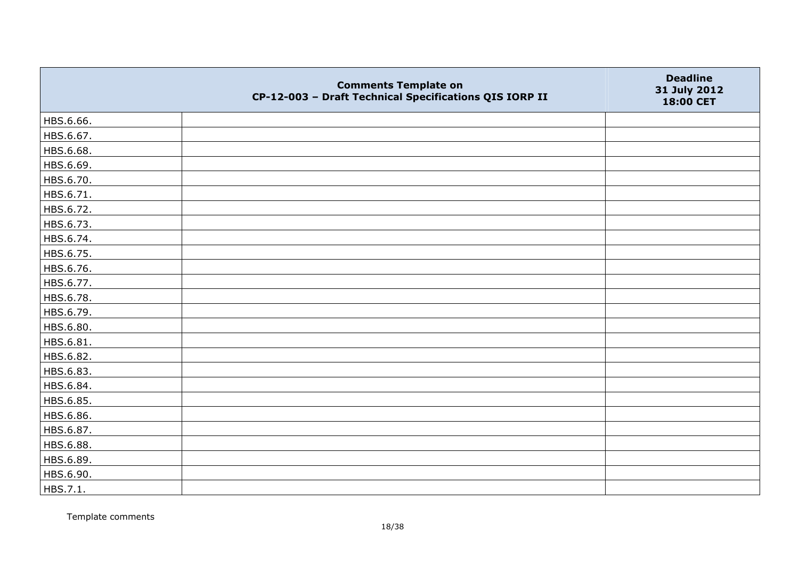|           | <b>Comments Template on</b><br>CP-12-003 - Draft Technical Specifications QIS IORP II | <b>Deadline</b><br>31 July 2012<br>18:00 CET |
|-----------|---------------------------------------------------------------------------------------|----------------------------------------------|
| HBS.6.66. |                                                                                       |                                              |
| HBS.6.67. |                                                                                       |                                              |
| HBS.6.68. |                                                                                       |                                              |
| HBS.6.69. |                                                                                       |                                              |
| HBS.6.70. |                                                                                       |                                              |
| HBS.6.71. |                                                                                       |                                              |
| HBS.6.72. |                                                                                       |                                              |
| HBS.6.73. |                                                                                       |                                              |
| HBS.6.74. |                                                                                       |                                              |
| HBS.6.75. |                                                                                       |                                              |
| HBS.6.76. |                                                                                       |                                              |
| HBS.6.77. |                                                                                       |                                              |
| HBS.6.78. |                                                                                       |                                              |
| HBS.6.79. |                                                                                       |                                              |
| HBS.6.80. |                                                                                       |                                              |
| HBS.6.81. |                                                                                       |                                              |
| HBS.6.82. |                                                                                       |                                              |
| HBS.6.83. |                                                                                       |                                              |
| HBS.6.84. |                                                                                       |                                              |
| HBS.6.85. |                                                                                       |                                              |
| HBS.6.86. |                                                                                       |                                              |
| HBS.6.87. |                                                                                       |                                              |
| HBS.6.88. |                                                                                       |                                              |
| HBS.6.89. |                                                                                       |                                              |
| HBS.6.90. |                                                                                       |                                              |
| HBS.7.1.  |                                                                                       |                                              |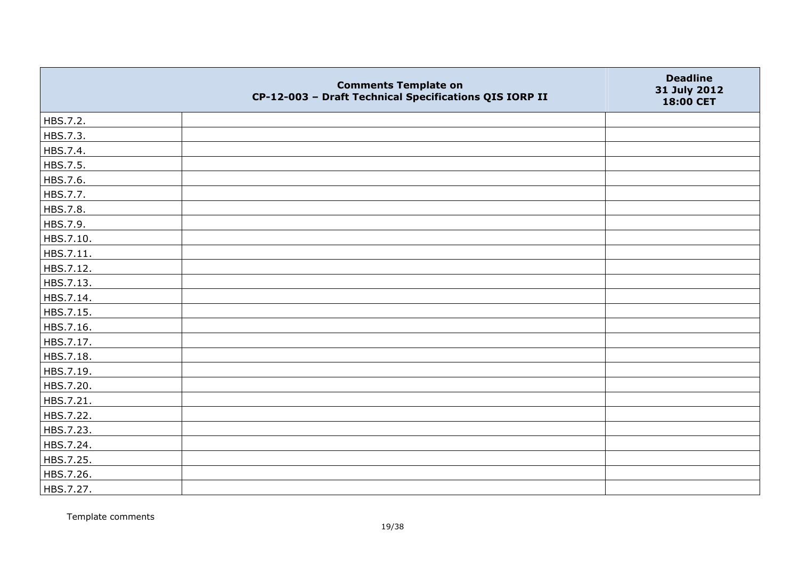|           | <b>Comments Template on</b><br>CP-12-003 - Draft Technical Specifications QIS IORP II | <b>Deadline</b><br>31 July 2012<br>18:00 CET |
|-----------|---------------------------------------------------------------------------------------|----------------------------------------------|
| HBS.7.2.  |                                                                                       |                                              |
| HBS.7.3.  |                                                                                       |                                              |
| HBS.7.4.  |                                                                                       |                                              |
| HBS.7.5.  |                                                                                       |                                              |
| HBS.7.6.  |                                                                                       |                                              |
| HBS.7.7.  |                                                                                       |                                              |
| HBS.7.8.  |                                                                                       |                                              |
| HBS.7.9.  |                                                                                       |                                              |
| HBS.7.10. |                                                                                       |                                              |
| HBS.7.11. |                                                                                       |                                              |
| HBS.7.12. |                                                                                       |                                              |
| HBS.7.13. |                                                                                       |                                              |
| HBS.7.14. |                                                                                       |                                              |
| HBS.7.15. |                                                                                       |                                              |
| HBS.7.16. |                                                                                       |                                              |
| HBS.7.17. |                                                                                       |                                              |
| HBS.7.18. |                                                                                       |                                              |
| HBS.7.19. |                                                                                       |                                              |
| HBS.7.20. |                                                                                       |                                              |
| HBS.7.21. |                                                                                       |                                              |
| HBS.7.22. |                                                                                       |                                              |
| HBS.7.23. |                                                                                       |                                              |
| HBS.7.24. |                                                                                       |                                              |
| HBS.7.25. |                                                                                       |                                              |
| HBS.7.26. |                                                                                       |                                              |
| HBS.7.27. |                                                                                       |                                              |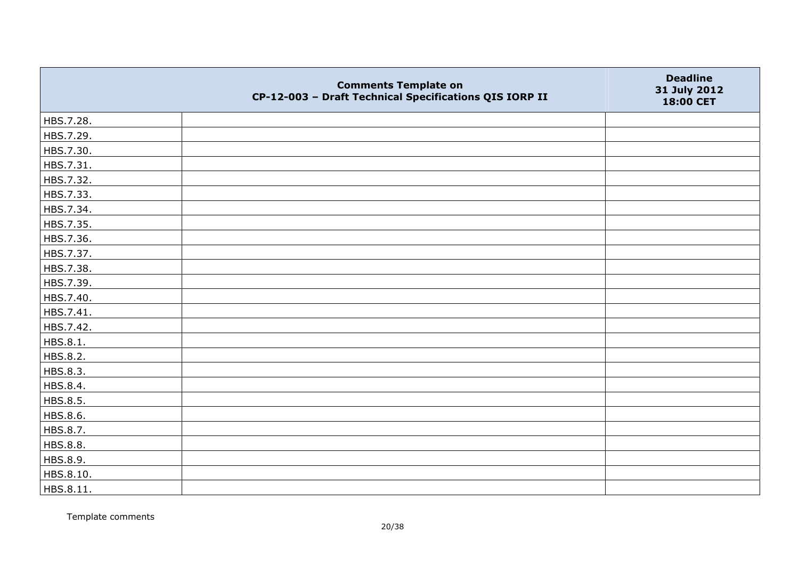|           | <b>Comments Template on</b><br>CP-12-003 - Draft Technical Specifications QIS IORP II | <b>Deadline</b><br>31 July 2012<br>18:00 CET |
|-----------|---------------------------------------------------------------------------------------|----------------------------------------------|
| HBS.7.28. |                                                                                       |                                              |
| HBS.7.29. |                                                                                       |                                              |
| HBS.7.30. |                                                                                       |                                              |
| HBS.7.31. |                                                                                       |                                              |
| HBS.7.32. |                                                                                       |                                              |
| HBS.7.33. |                                                                                       |                                              |
| HBS.7.34. |                                                                                       |                                              |
| HBS.7.35. |                                                                                       |                                              |
| HBS.7.36. |                                                                                       |                                              |
| HBS.7.37. |                                                                                       |                                              |
| HBS.7.38. |                                                                                       |                                              |
| HBS.7.39. |                                                                                       |                                              |
| HBS.7.40. |                                                                                       |                                              |
| HBS.7.41. |                                                                                       |                                              |
| HBS.7.42. |                                                                                       |                                              |
| HBS.8.1.  |                                                                                       |                                              |
| HBS.8.2.  |                                                                                       |                                              |
| HBS.8.3.  |                                                                                       |                                              |
| HBS.8.4.  |                                                                                       |                                              |
| HBS.8.5.  |                                                                                       |                                              |
| HBS.8.6.  |                                                                                       |                                              |
| HBS.8.7.  |                                                                                       |                                              |
| HBS.8.8.  |                                                                                       |                                              |
| HBS.8.9.  |                                                                                       |                                              |
| HBS.8.10. |                                                                                       |                                              |
| HBS.8.11. |                                                                                       |                                              |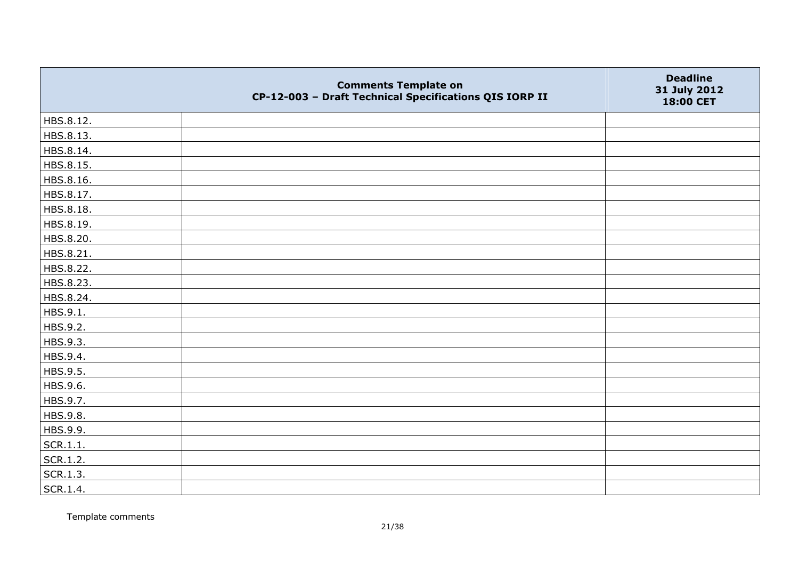|           | <b>Comments Template on</b><br>CP-12-003 - Draft Technical Specifications QIS IORP II | <b>Deadline</b><br>31 July 2012<br>18:00 CET |
|-----------|---------------------------------------------------------------------------------------|----------------------------------------------|
| HBS.8.12. |                                                                                       |                                              |
| HBS.8.13. |                                                                                       |                                              |
| HBS.8.14. |                                                                                       |                                              |
| HBS.8.15. |                                                                                       |                                              |
| HBS.8.16. |                                                                                       |                                              |
| HBS.8.17. |                                                                                       |                                              |
| HBS.8.18. |                                                                                       |                                              |
| HBS.8.19. |                                                                                       |                                              |
| HBS.8.20. |                                                                                       |                                              |
| HBS.8.21. |                                                                                       |                                              |
| HBS.8.22. |                                                                                       |                                              |
| HBS.8.23. |                                                                                       |                                              |
| HBS.8.24. |                                                                                       |                                              |
| HBS.9.1.  |                                                                                       |                                              |
| HBS.9.2.  |                                                                                       |                                              |
| HBS.9.3.  |                                                                                       |                                              |
| HBS.9.4.  |                                                                                       |                                              |
| HBS.9.5.  |                                                                                       |                                              |
| HBS.9.6.  |                                                                                       |                                              |
| HBS.9.7.  |                                                                                       |                                              |
| HBS.9.8.  |                                                                                       |                                              |
| HBS.9.9.  |                                                                                       |                                              |
| SCR.1.1.  |                                                                                       |                                              |
| SCR.1.2.  |                                                                                       |                                              |
| SCR.1.3.  |                                                                                       |                                              |
| SCR.1.4.  |                                                                                       |                                              |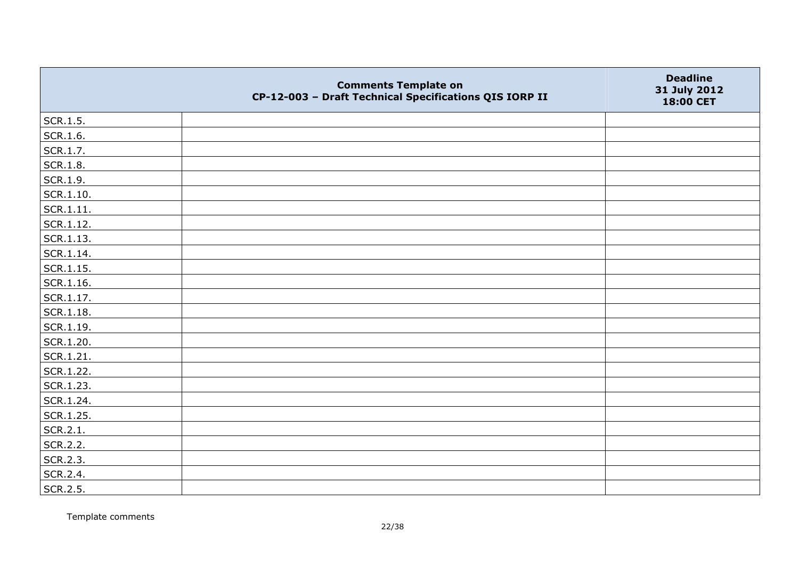|                   | <b>Comments Template on</b><br>CP-12-003 - Draft Technical Specifications QIS IORP II | <b>Deadline</b><br>31 July 2012<br>18:00 CET |
|-------------------|---------------------------------------------------------------------------------------|----------------------------------------------|
| SCR.1.5.          |                                                                                       |                                              |
| SCR.1.6.          |                                                                                       |                                              |
| SCR.1.7.          |                                                                                       |                                              |
| <b>SCR.1.8.</b>   |                                                                                       |                                              |
| SCR.1.9.          |                                                                                       |                                              |
| $\vert$ SCR.1.10. |                                                                                       |                                              |
| SCR.1.11.         |                                                                                       |                                              |
| SCR.1.12.         |                                                                                       |                                              |
| SCR.1.13.         |                                                                                       |                                              |
| SCR.1.14.         |                                                                                       |                                              |
| $ $ SCR.1.15.     |                                                                                       |                                              |
| SCR.1.16.         |                                                                                       |                                              |
| SCR.1.17.         |                                                                                       |                                              |
| $ $ SCR.1.18.     |                                                                                       |                                              |
| SCR.1.19.         |                                                                                       |                                              |
| SCR.1.20.         |                                                                                       |                                              |
| $ $ SCR.1.21.     |                                                                                       |                                              |
| SCR.1.22.         |                                                                                       |                                              |
| SCR.1.23.         |                                                                                       |                                              |
| SCR.1.24.         |                                                                                       |                                              |
| SCR.1.25.         |                                                                                       |                                              |
| SCR.2.1.          |                                                                                       |                                              |
| SCR.2.2.          |                                                                                       |                                              |
| SCR.2.3.          |                                                                                       |                                              |
| SCR.2.4.          |                                                                                       |                                              |
| SCR.2.5.          |                                                                                       |                                              |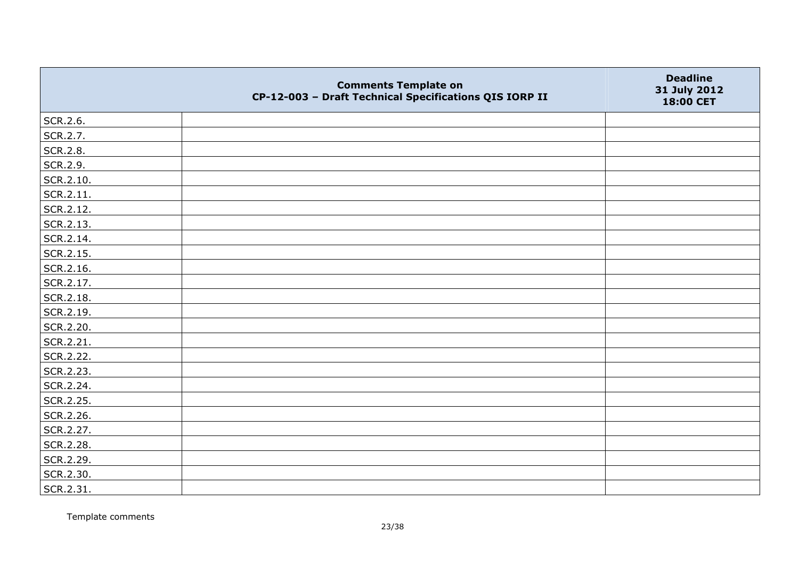|                   | <b>Comments Template on</b><br>CP-12-003 - Draft Technical Specifications QIS IORP II | <b>Deadline</b><br>31 July 2012<br>18:00 CET |
|-------------------|---------------------------------------------------------------------------------------|----------------------------------------------|
| SCR.2.6.          |                                                                                       |                                              |
| SCR.2.7.          |                                                                                       |                                              |
| SCR.2.8.          |                                                                                       |                                              |
| SCR.2.9.          |                                                                                       |                                              |
| SCR.2.10.         |                                                                                       |                                              |
| $\vert$ SCR.2.11. |                                                                                       |                                              |
| SCR.2.12.         |                                                                                       |                                              |
| SCR.2.13.         |                                                                                       |                                              |
| SCR.2.14.         |                                                                                       |                                              |
| SCR.2.15.         |                                                                                       |                                              |
| SCR.2.16.         |                                                                                       |                                              |
| SCR.2.17.         |                                                                                       |                                              |
| SCR.2.18.         |                                                                                       |                                              |
| SCR.2.19.         |                                                                                       |                                              |
| SCR.2.20.         |                                                                                       |                                              |
| SCR.2.21.         |                                                                                       |                                              |
| SCR.2.22.         |                                                                                       |                                              |
| SCR.2.23.         |                                                                                       |                                              |
| SCR.2.24.         |                                                                                       |                                              |
| SCR.2.25.         |                                                                                       |                                              |
| SCR.2.26.         |                                                                                       |                                              |
| SCR.2.27.         |                                                                                       |                                              |
| SCR.2.28.         |                                                                                       |                                              |
| SCR.2.29.         |                                                                                       |                                              |
| SCR.2.30.         |                                                                                       |                                              |
| SCR.2.31.         |                                                                                       |                                              |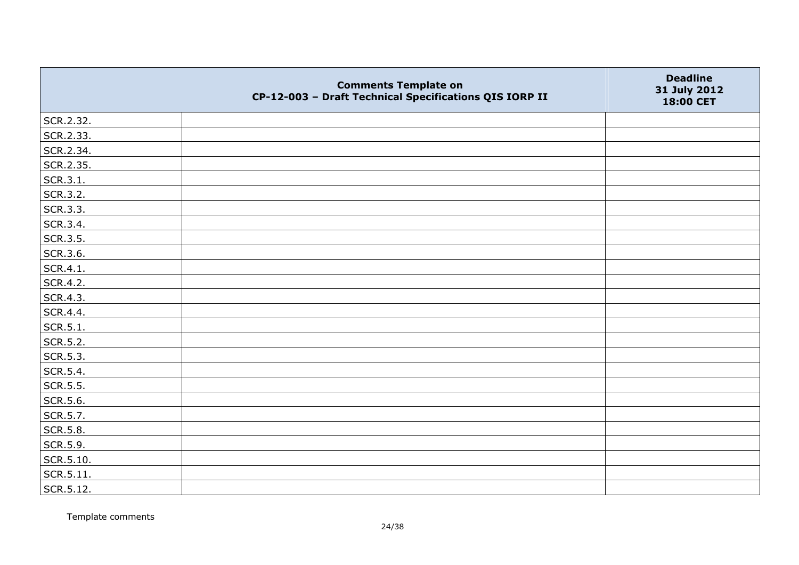|           | <b>Comments Template on</b><br>CP-12-003 - Draft Technical Specifications QIS IORP II | <b>Deadline</b><br>31 July 2012<br>18:00 CET |
|-----------|---------------------------------------------------------------------------------------|----------------------------------------------|
| SCR.2.32. |                                                                                       |                                              |
| SCR.2.33. |                                                                                       |                                              |
| SCR.2.34. |                                                                                       |                                              |
| SCR.2.35. |                                                                                       |                                              |
| SCR.3.1.  |                                                                                       |                                              |
| SCR.3.2.  |                                                                                       |                                              |
| SCR.3.3.  |                                                                                       |                                              |
| SCR.3.4.  |                                                                                       |                                              |
| SCR.3.5.  |                                                                                       |                                              |
| SCR.3.6.  |                                                                                       |                                              |
| SCR.4.1.  |                                                                                       |                                              |
| SCR.4.2.  |                                                                                       |                                              |
| SCR.4.3.  |                                                                                       |                                              |
| SCR.4.4.  |                                                                                       |                                              |
| SCR.5.1.  |                                                                                       |                                              |
| SCR.5.2.  |                                                                                       |                                              |
| SCR.5.3.  |                                                                                       |                                              |
| SCR.5.4.  |                                                                                       |                                              |
| SCR.5.5.  |                                                                                       |                                              |
| SCR.5.6.  |                                                                                       |                                              |
| SCR.5.7.  |                                                                                       |                                              |
| SCR.5.8.  |                                                                                       |                                              |
| SCR.5.9.  |                                                                                       |                                              |
| SCR.5.10. |                                                                                       |                                              |
| SCR.5.11. |                                                                                       |                                              |
| SCR.5.12. |                                                                                       |                                              |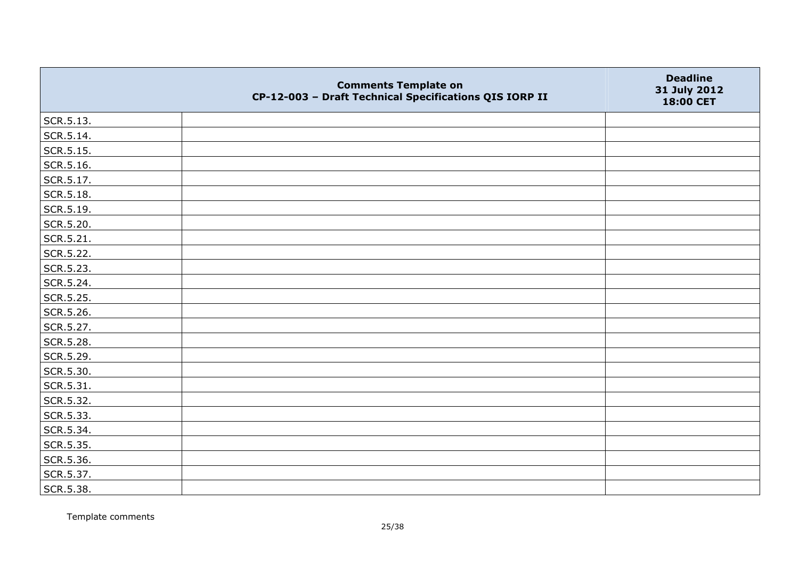|           | <b>Comments Template on</b><br>CP-12-003 - Draft Technical Specifications QIS IORP II | <b>Deadline</b><br>31 July 2012<br>18:00 CET |
|-----------|---------------------------------------------------------------------------------------|----------------------------------------------|
| SCR.5.13. |                                                                                       |                                              |
| SCR.5.14. |                                                                                       |                                              |
| SCR.5.15. |                                                                                       |                                              |
| SCR.5.16. |                                                                                       |                                              |
| SCR.5.17. |                                                                                       |                                              |
| SCR.5.18. |                                                                                       |                                              |
| SCR.5.19. |                                                                                       |                                              |
| SCR.5.20. |                                                                                       |                                              |
| SCR.5.21. |                                                                                       |                                              |
| SCR.5.22. |                                                                                       |                                              |
| SCR.5.23. |                                                                                       |                                              |
| SCR.5.24. |                                                                                       |                                              |
| SCR.5.25. |                                                                                       |                                              |
| SCR.5.26. |                                                                                       |                                              |
| SCR.5.27. |                                                                                       |                                              |
| SCR.5.28. |                                                                                       |                                              |
| SCR.5.29. |                                                                                       |                                              |
| SCR.5.30. |                                                                                       |                                              |
| SCR.5.31. |                                                                                       |                                              |
| SCR.5.32. |                                                                                       |                                              |
| SCR.5.33. |                                                                                       |                                              |
| SCR.5.34. |                                                                                       |                                              |
| SCR.5.35. |                                                                                       |                                              |
| SCR.5.36. |                                                                                       |                                              |
| SCR.5.37. |                                                                                       |                                              |
| SCR.5.38. |                                                                                       |                                              |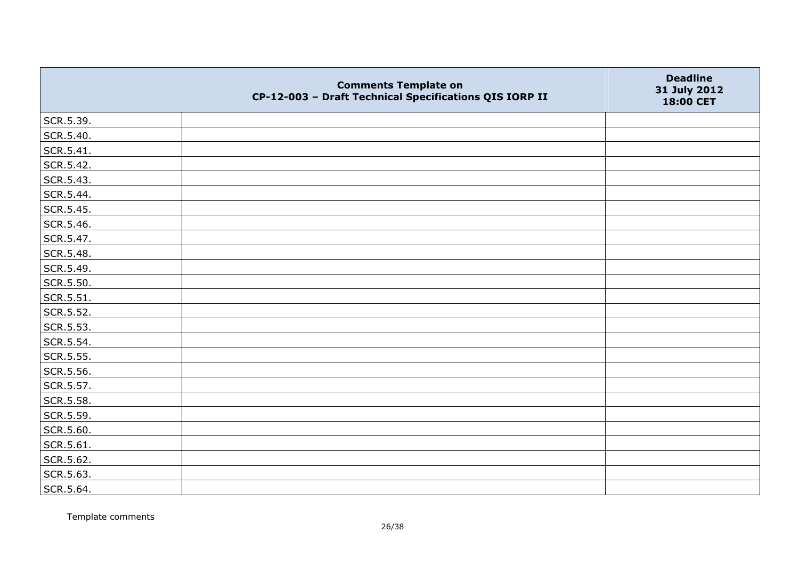|           | <b>Comments Template on</b><br>CP-12-003 - Draft Technical Specifications QIS IORP II | <b>Deadline</b><br>31 July 2012<br>18:00 CET |
|-----------|---------------------------------------------------------------------------------------|----------------------------------------------|
| SCR.5.39. |                                                                                       |                                              |
| SCR.5.40. |                                                                                       |                                              |
| SCR.5.41. |                                                                                       |                                              |
| SCR.5.42. |                                                                                       |                                              |
| SCR.5.43. |                                                                                       |                                              |
| SCR.5.44. |                                                                                       |                                              |
| SCR.5.45. |                                                                                       |                                              |
| SCR.5.46. |                                                                                       |                                              |
| SCR.5.47. |                                                                                       |                                              |
| SCR.5.48. |                                                                                       |                                              |
| SCR.5.49. |                                                                                       |                                              |
| SCR.5.50. |                                                                                       |                                              |
| SCR.5.51. |                                                                                       |                                              |
| SCR.5.52. |                                                                                       |                                              |
| SCR.5.53. |                                                                                       |                                              |
| SCR.5.54. |                                                                                       |                                              |
| SCR.5.55. |                                                                                       |                                              |
| SCR.5.56. |                                                                                       |                                              |
| SCR.5.57. |                                                                                       |                                              |
| SCR.5.58. |                                                                                       |                                              |
| SCR.5.59. |                                                                                       |                                              |
| SCR.5.60. |                                                                                       |                                              |
| SCR.5.61. |                                                                                       |                                              |
| SCR.5.62. |                                                                                       |                                              |
| SCR.5.63. |                                                                                       |                                              |
| SCR.5.64. |                                                                                       |                                              |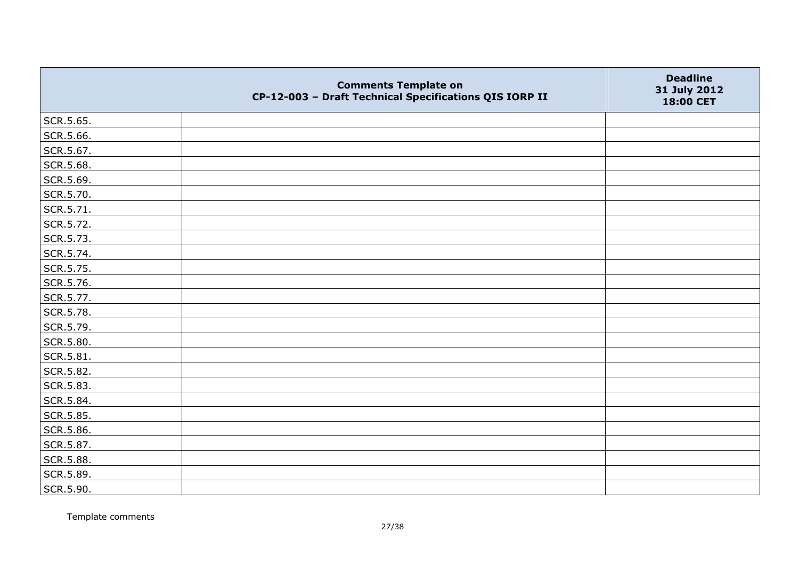|           | <b>Comments Template on</b><br>CP-12-003 - Draft Technical Specifications QIS IORP II | <b>Deadline</b><br>31 July 2012<br>18:00 CET |
|-----------|---------------------------------------------------------------------------------------|----------------------------------------------|
| SCR.5.65. |                                                                                       |                                              |
| SCR.5.66. |                                                                                       |                                              |
| SCR.5.67. |                                                                                       |                                              |
| SCR.5.68. |                                                                                       |                                              |
| SCR.5.69. |                                                                                       |                                              |
| SCR.5.70. |                                                                                       |                                              |
| SCR.5.71. |                                                                                       |                                              |
| SCR.5.72. |                                                                                       |                                              |
| SCR.5.73. |                                                                                       |                                              |
| SCR.5.74. |                                                                                       |                                              |
| SCR.5.75. |                                                                                       |                                              |
| SCR.5.76. |                                                                                       |                                              |
| SCR.5.77. |                                                                                       |                                              |
| SCR.5.78. |                                                                                       |                                              |
| SCR.5.79. |                                                                                       |                                              |
| SCR.5.80. |                                                                                       |                                              |
| SCR.5.81. |                                                                                       |                                              |
| SCR.5.82. |                                                                                       |                                              |
| SCR.5.83. |                                                                                       |                                              |
| SCR.5.84. |                                                                                       |                                              |
| SCR.5.85. |                                                                                       |                                              |
| SCR.5.86. |                                                                                       |                                              |
| SCR.5.87. |                                                                                       |                                              |
| SCR.5.88. |                                                                                       |                                              |
| SCR.5.89. |                                                                                       |                                              |
| SCR.5.90. |                                                                                       |                                              |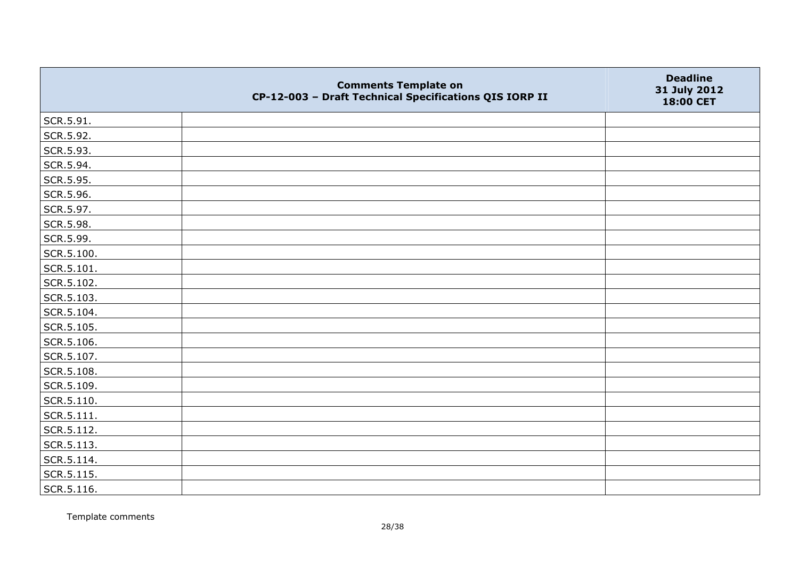|                | <b>Comments Template on</b><br>CP-12-003 - Draft Technical Specifications QIS IORP II | <b>Deadline</b><br>31 July 2012<br>18:00 CET |
|----------------|---------------------------------------------------------------------------------------|----------------------------------------------|
| SCR.5.91.      |                                                                                       |                                              |
| SCR.5.92.      |                                                                                       |                                              |
| SCR.5.93.      |                                                                                       |                                              |
| SCR.5.94.      |                                                                                       |                                              |
| SCR.5.95.      |                                                                                       |                                              |
| SCR.5.96.      |                                                                                       |                                              |
| SCR.5.97.      |                                                                                       |                                              |
| SCR.5.98.      |                                                                                       |                                              |
| SCR.5.99.      |                                                                                       |                                              |
| SCR.5.100.     |                                                                                       |                                              |
| SCR.5.101.     |                                                                                       |                                              |
| SCR.5.102.     |                                                                                       |                                              |
| SCR.5.103.     |                                                                                       |                                              |
| SCR.5.104.     |                                                                                       |                                              |
| SCR.5.105.     |                                                                                       |                                              |
| SCR.5.106.     |                                                                                       |                                              |
| SCR.5.107.     |                                                                                       |                                              |
| SCR.5.108.     |                                                                                       |                                              |
| SCR.5.109.     |                                                                                       |                                              |
| SCR.5.110.     |                                                                                       |                                              |
| $ $ SCR.5.111. |                                                                                       |                                              |
| SCR.5.112.     |                                                                                       |                                              |
| SCR.5.113.     |                                                                                       |                                              |
| SCR.5.114.     |                                                                                       |                                              |
| SCR.5.115.     |                                                                                       |                                              |
| SCR.5.116.     |                                                                                       |                                              |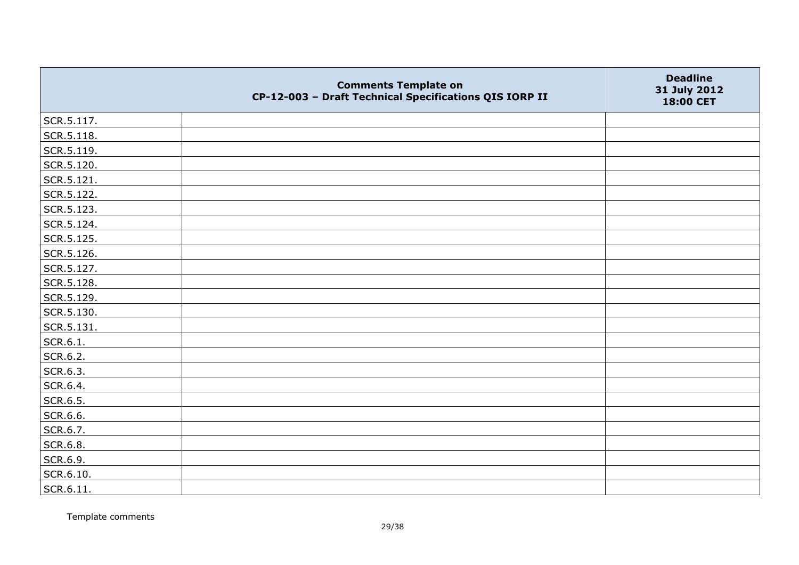|                   | <b>Comments Template on</b><br>CP-12-003 - Draft Technical Specifications QIS IORP II | <b>Deadline</b><br>31 July 2012<br>18:00 CET |
|-------------------|---------------------------------------------------------------------------------------|----------------------------------------------|
| SCR.5.117.        |                                                                                       |                                              |
| SCR.5.118.        |                                                                                       |                                              |
| SCR.5.119.        |                                                                                       |                                              |
| SCR.5.120.        |                                                                                       |                                              |
| SCR.5.121.        |                                                                                       |                                              |
| SCR.5.122.        |                                                                                       |                                              |
| SCR.5.123.        |                                                                                       |                                              |
| SCR.5.124.        |                                                                                       |                                              |
| SCR.5.125.        |                                                                                       |                                              |
| SCR.5.126.        |                                                                                       |                                              |
| SCR.5.127.        |                                                                                       |                                              |
| SCR.5.128.        |                                                                                       |                                              |
| SCR.5.129.        |                                                                                       |                                              |
| SCR.5.130.        |                                                                                       |                                              |
| SCR.5.131.        |                                                                                       |                                              |
| SCR.6.1.          |                                                                                       |                                              |
| SCR.6.2.          |                                                                                       |                                              |
| SCR.6.3.          |                                                                                       |                                              |
| SCR.6.4.          |                                                                                       |                                              |
| SCR.6.5.          |                                                                                       |                                              |
| SCR.6.6.          |                                                                                       |                                              |
| SCR.6.7.          |                                                                                       |                                              |
| SCR.6.8.          |                                                                                       |                                              |
| SCR.6.9.          |                                                                                       |                                              |
| SCR.6.10.         |                                                                                       |                                              |
| $\vert$ SCR.6.11. |                                                                                       |                                              |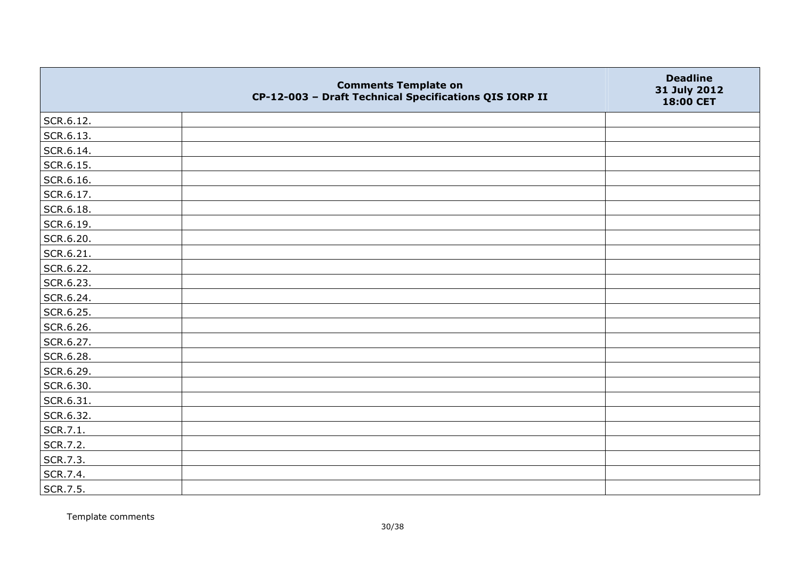|           | <b>Comments Template on</b><br>CP-12-003 - Draft Technical Specifications QIS IORP II | <b>Deadline</b><br>31 July 2012<br>18:00 CET |
|-----------|---------------------------------------------------------------------------------------|----------------------------------------------|
| SCR.6.12. |                                                                                       |                                              |
| SCR.6.13. |                                                                                       |                                              |
| SCR.6.14. |                                                                                       |                                              |
| SCR.6.15. |                                                                                       |                                              |
| SCR.6.16. |                                                                                       |                                              |
| SCR.6.17. |                                                                                       |                                              |
| SCR.6.18. |                                                                                       |                                              |
| SCR.6.19. |                                                                                       |                                              |
| SCR.6.20. |                                                                                       |                                              |
| SCR.6.21. |                                                                                       |                                              |
| SCR.6.22. |                                                                                       |                                              |
| SCR.6.23. |                                                                                       |                                              |
| SCR.6.24. |                                                                                       |                                              |
| SCR.6.25. |                                                                                       |                                              |
| SCR.6.26. |                                                                                       |                                              |
| SCR.6.27. |                                                                                       |                                              |
| SCR.6.28. |                                                                                       |                                              |
| SCR.6.29. |                                                                                       |                                              |
| SCR.6.30. |                                                                                       |                                              |
| SCR.6.31. |                                                                                       |                                              |
| SCR.6.32. |                                                                                       |                                              |
| SCR.7.1.  |                                                                                       |                                              |
| SCR.7.2.  |                                                                                       |                                              |
| SCR.7.3.  |                                                                                       |                                              |
| SCR.7.4.  |                                                                                       |                                              |
| SCR.7.5.  |                                                                                       |                                              |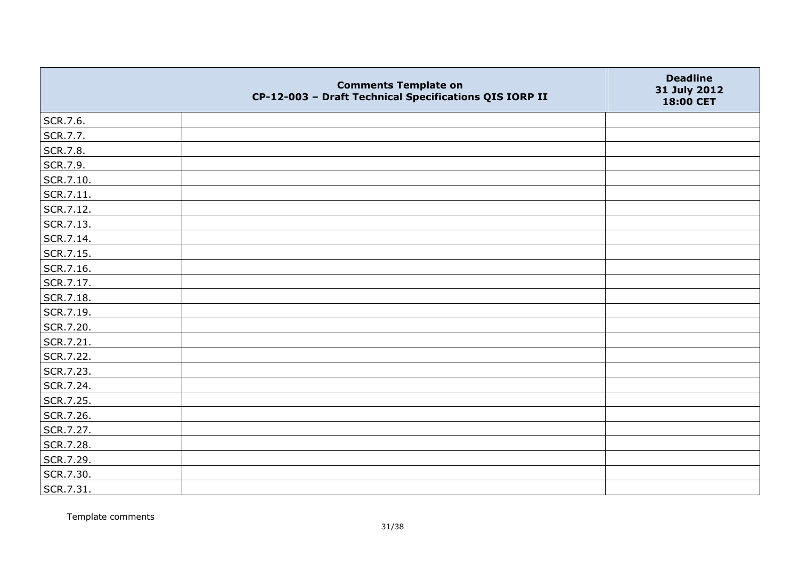|           | <b>Comments Template on</b><br>CP-12-003 - Draft Technical Specifications QIS IORP II | <b>Deadline</b><br>31 July 2012<br>18:00 CET |
|-----------|---------------------------------------------------------------------------------------|----------------------------------------------|
| SCR.7.6.  |                                                                                       |                                              |
| SCR.7.7.  |                                                                                       |                                              |
| SCR.7.8.  |                                                                                       |                                              |
| SCR.7.9.  |                                                                                       |                                              |
| SCR.7.10. |                                                                                       |                                              |
| SCR.7.11. |                                                                                       |                                              |
| SCR.7.12. |                                                                                       |                                              |
| SCR.7.13. |                                                                                       |                                              |
| SCR.7.14. |                                                                                       |                                              |
| SCR.7.15. |                                                                                       |                                              |
| SCR.7.16. |                                                                                       |                                              |
| SCR.7.17. |                                                                                       |                                              |
| SCR.7.18. |                                                                                       |                                              |
| SCR.7.19. |                                                                                       |                                              |
| SCR.7.20. |                                                                                       |                                              |
| SCR.7.21. |                                                                                       |                                              |
| SCR.7.22. |                                                                                       |                                              |
| SCR.7.23. |                                                                                       |                                              |
| SCR.7.24. |                                                                                       |                                              |
| SCR.7.25. |                                                                                       |                                              |
| SCR.7.26. |                                                                                       |                                              |
| SCR.7.27. |                                                                                       |                                              |
| SCR.7.28. |                                                                                       |                                              |
| SCR.7.29. |                                                                                       |                                              |
| SCR.7.30. |                                                                                       |                                              |
| SCR.7.31. |                                                                                       |                                              |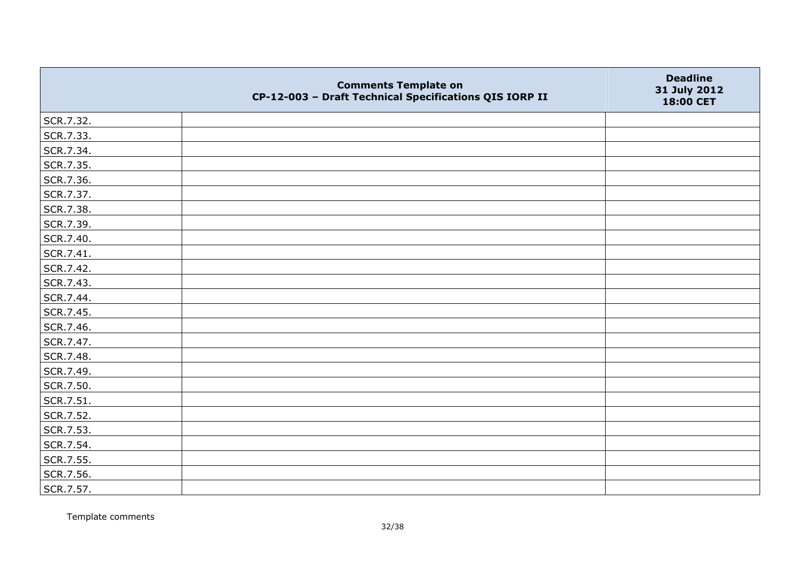|           | <b>Comments Template on</b><br>CP-12-003 - Draft Technical Specifications QIS IORP II | <b>Deadline</b><br>31 July 2012<br>18:00 CET |
|-----------|---------------------------------------------------------------------------------------|----------------------------------------------|
| SCR.7.32. |                                                                                       |                                              |
| SCR.7.33. |                                                                                       |                                              |
| SCR.7.34. |                                                                                       |                                              |
| SCR.7.35. |                                                                                       |                                              |
| SCR.7.36. |                                                                                       |                                              |
| SCR.7.37. |                                                                                       |                                              |
| SCR.7.38. |                                                                                       |                                              |
| SCR.7.39. |                                                                                       |                                              |
| SCR.7.40. |                                                                                       |                                              |
| SCR.7.41. |                                                                                       |                                              |
| SCR.7.42. |                                                                                       |                                              |
| SCR.7.43. |                                                                                       |                                              |
| SCR.7.44. |                                                                                       |                                              |
| SCR.7.45. |                                                                                       |                                              |
| SCR.7.46. |                                                                                       |                                              |
| SCR.7.47. |                                                                                       |                                              |
| SCR.7.48. |                                                                                       |                                              |
| SCR.7.49. |                                                                                       |                                              |
| SCR.7.50. |                                                                                       |                                              |
| SCR.7.51. |                                                                                       |                                              |
| SCR.7.52. |                                                                                       |                                              |
| SCR.7.53. |                                                                                       |                                              |
| SCR.7.54. |                                                                                       |                                              |
| SCR.7.55. |                                                                                       |                                              |
| SCR.7.56. |                                                                                       |                                              |
| SCR.7.57. |                                                                                       |                                              |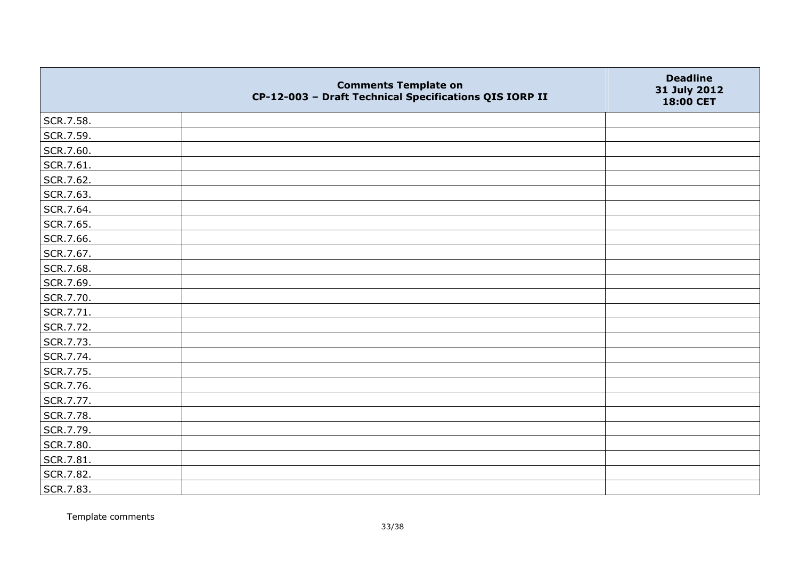|           | <b>Comments Template on</b><br>CP-12-003 - Draft Technical Specifications QIS IORP II | <b>Deadline</b><br>31 July 2012<br>18:00 CET |
|-----------|---------------------------------------------------------------------------------------|----------------------------------------------|
| SCR.7.58. |                                                                                       |                                              |
| SCR.7.59. |                                                                                       |                                              |
| SCR.7.60. |                                                                                       |                                              |
| SCR.7.61. |                                                                                       |                                              |
| SCR.7.62. |                                                                                       |                                              |
| SCR.7.63. |                                                                                       |                                              |
| SCR.7.64. |                                                                                       |                                              |
| SCR.7.65. |                                                                                       |                                              |
| SCR.7.66. |                                                                                       |                                              |
| SCR.7.67. |                                                                                       |                                              |
| SCR.7.68. |                                                                                       |                                              |
| SCR.7.69. |                                                                                       |                                              |
| SCR.7.70. |                                                                                       |                                              |
| SCR.7.71. |                                                                                       |                                              |
| SCR.7.72. |                                                                                       |                                              |
| SCR.7.73. |                                                                                       |                                              |
| SCR.7.74. |                                                                                       |                                              |
| SCR.7.75. |                                                                                       |                                              |
| SCR.7.76. |                                                                                       |                                              |
| SCR.7.77. |                                                                                       |                                              |
| SCR.7.78. |                                                                                       |                                              |
| SCR.7.79. |                                                                                       |                                              |
| SCR.7.80. |                                                                                       |                                              |
| SCR.7.81. |                                                                                       |                                              |
| SCR.7.82. |                                                                                       |                                              |
| SCR.7.83. |                                                                                       |                                              |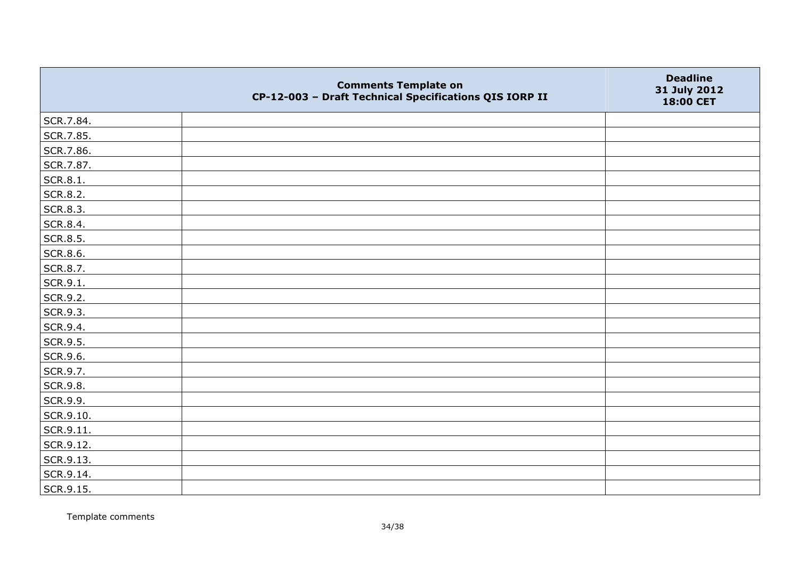|           | <b>Comments Template on</b><br>CP-12-003 - Draft Technical Specifications QIS IORP II | <b>Deadline</b><br>31 July 2012<br>18:00 CET |
|-----------|---------------------------------------------------------------------------------------|----------------------------------------------|
| SCR.7.84. |                                                                                       |                                              |
| SCR.7.85. |                                                                                       |                                              |
| SCR.7.86. |                                                                                       |                                              |
| SCR.7.87. |                                                                                       |                                              |
| SCR.8.1.  |                                                                                       |                                              |
| SCR.8.2.  |                                                                                       |                                              |
| SCR.8.3.  |                                                                                       |                                              |
| SCR.8.4.  |                                                                                       |                                              |
| SCR.8.5.  |                                                                                       |                                              |
| SCR.8.6.  |                                                                                       |                                              |
| SCR.8.7.  |                                                                                       |                                              |
| SCR.9.1.  |                                                                                       |                                              |
| SCR.9.2.  |                                                                                       |                                              |
| SCR.9.3.  |                                                                                       |                                              |
| SCR.9.4.  |                                                                                       |                                              |
| SCR.9.5.  |                                                                                       |                                              |
| SCR.9.6.  |                                                                                       |                                              |
| SCR.9.7.  |                                                                                       |                                              |
| SCR.9.8.  |                                                                                       |                                              |
| SCR.9.9.  |                                                                                       |                                              |
| SCR.9.10. |                                                                                       |                                              |
| SCR.9.11. |                                                                                       |                                              |
| SCR.9.12. |                                                                                       |                                              |
| SCR.9.13. |                                                                                       |                                              |
| SCR.9.14. |                                                                                       |                                              |
| SCR.9.15. |                                                                                       |                                              |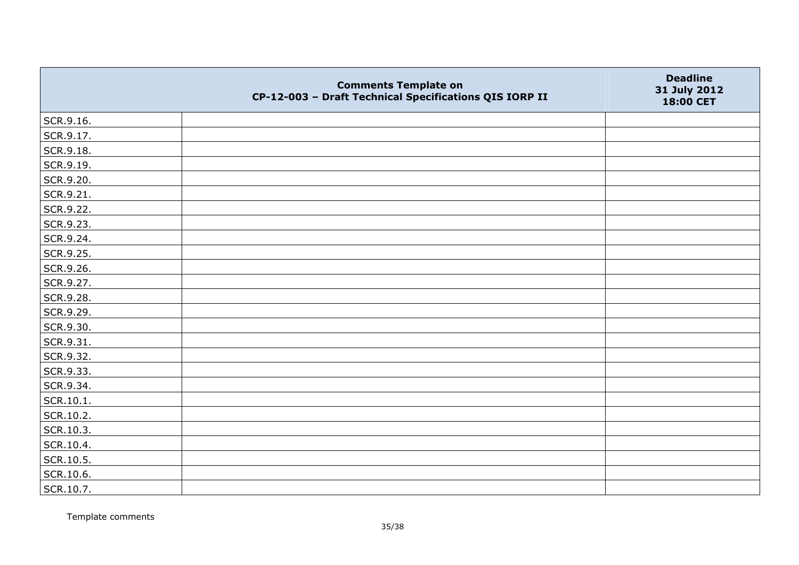|           | <b>Comments Template on</b><br>CP-12-003 - Draft Technical Specifications QIS IORP II | <b>Deadline</b><br>31 July 2012<br>18:00 CET |
|-----------|---------------------------------------------------------------------------------------|----------------------------------------------|
| SCR.9.16. |                                                                                       |                                              |
| SCR.9.17. |                                                                                       |                                              |
| SCR.9.18. |                                                                                       |                                              |
| SCR.9.19. |                                                                                       |                                              |
| SCR.9.20. |                                                                                       |                                              |
| SCR.9.21. |                                                                                       |                                              |
| SCR.9.22. |                                                                                       |                                              |
| SCR.9.23. |                                                                                       |                                              |
| SCR.9.24. |                                                                                       |                                              |
| SCR.9.25. |                                                                                       |                                              |
| SCR.9.26. |                                                                                       |                                              |
| SCR.9.27. |                                                                                       |                                              |
| SCR.9.28. |                                                                                       |                                              |
| SCR.9.29. |                                                                                       |                                              |
| SCR.9.30. |                                                                                       |                                              |
| SCR.9.31. |                                                                                       |                                              |
| SCR.9.32. |                                                                                       |                                              |
| SCR.9.33. |                                                                                       |                                              |
| SCR.9.34. |                                                                                       |                                              |
| SCR.10.1. |                                                                                       |                                              |
| SCR.10.2. |                                                                                       |                                              |
| SCR.10.3. |                                                                                       |                                              |
| SCR.10.4. |                                                                                       |                                              |
| SCR.10.5. |                                                                                       |                                              |
| SCR.10.6. |                                                                                       |                                              |
| SCR.10.7. |                                                                                       |                                              |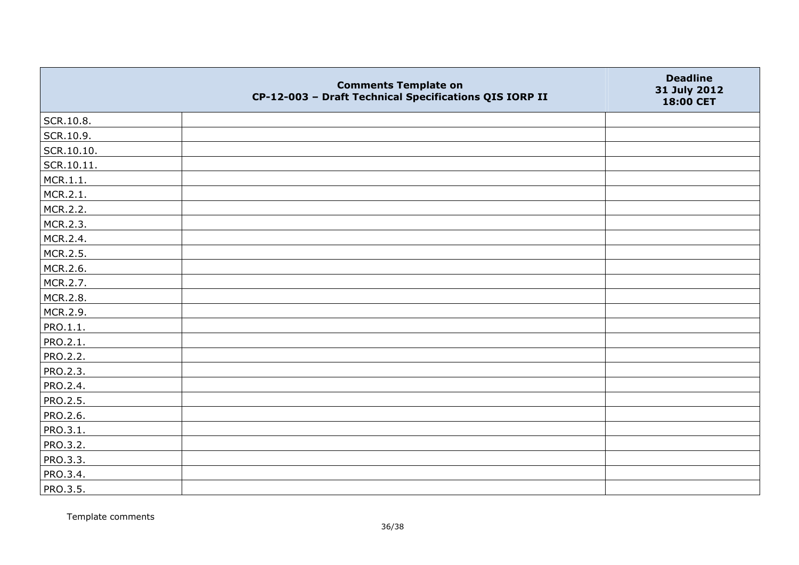|            | <b>Comments Template on</b><br>CP-12-003 - Draft Technical Specifications QIS IORP II | <b>Deadline</b><br>31 July 2012<br>18:00 CET |
|------------|---------------------------------------------------------------------------------------|----------------------------------------------|
| SCR.10.8.  |                                                                                       |                                              |
| SCR.10.9.  |                                                                                       |                                              |
| SCR.10.10. |                                                                                       |                                              |
| SCR.10.11. |                                                                                       |                                              |
| MCR.1.1.   |                                                                                       |                                              |
| MCR.2.1.   |                                                                                       |                                              |
| MCR.2.2.   |                                                                                       |                                              |
| MCR.2.3.   |                                                                                       |                                              |
| MCR.2.4.   |                                                                                       |                                              |
| MCR.2.5.   |                                                                                       |                                              |
| MCR.2.6.   |                                                                                       |                                              |
| MCR.2.7.   |                                                                                       |                                              |
| MCR.2.8.   |                                                                                       |                                              |
| MCR.2.9.   |                                                                                       |                                              |
| PRO.1.1.   |                                                                                       |                                              |
| PRO.2.1.   |                                                                                       |                                              |
| PRO.2.2.   |                                                                                       |                                              |
| PRO.2.3.   |                                                                                       |                                              |
| PRO.2.4.   |                                                                                       |                                              |
| PRO.2.5.   |                                                                                       |                                              |
| PRO.2.6.   |                                                                                       |                                              |
| PRO.3.1.   |                                                                                       |                                              |
| PRO.3.2.   |                                                                                       |                                              |
| PRO.3.3.   |                                                                                       |                                              |
| PRO.3.4.   |                                                                                       |                                              |
| PRO.3.5.   |                                                                                       |                                              |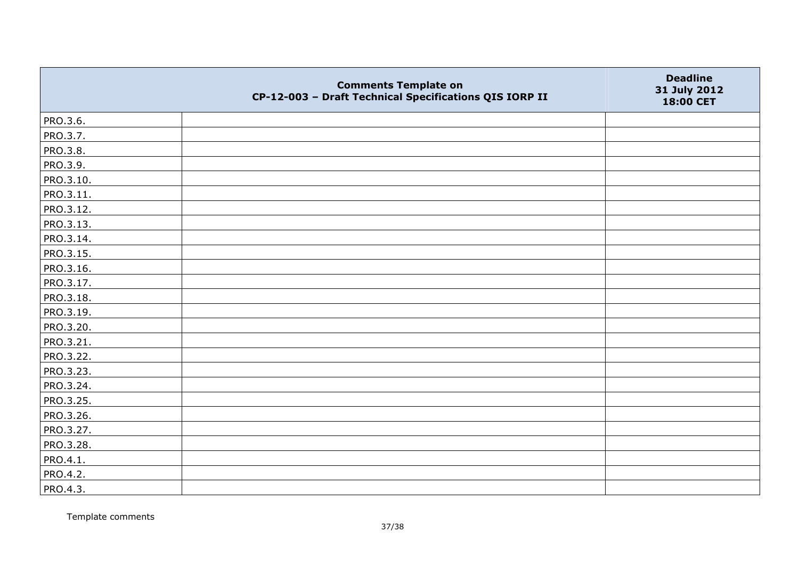|           | <b>Comments Template on</b><br>CP-12-003 - Draft Technical Specifications QIS IORP II | <b>Deadline</b><br>31 July 2012<br>18:00 CET |
|-----------|---------------------------------------------------------------------------------------|----------------------------------------------|
| PRO.3.6.  |                                                                                       |                                              |
| PRO.3.7.  |                                                                                       |                                              |
| PRO.3.8.  |                                                                                       |                                              |
| PRO.3.9.  |                                                                                       |                                              |
| PRO.3.10. |                                                                                       |                                              |
| PRO.3.11. |                                                                                       |                                              |
| PRO.3.12. |                                                                                       |                                              |
| PRO.3.13. |                                                                                       |                                              |
| PRO.3.14. |                                                                                       |                                              |
| PRO.3.15. |                                                                                       |                                              |
| PRO.3.16. |                                                                                       |                                              |
| PRO.3.17. |                                                                                       |                                              |
| PRO.3.18. |                                                                                       |                                              |
| PRO.3.19. |                                                                                       |                                              |
| PRO.3.20. |                                                                                       |                                              |
| PRO.3.21. |                                                                                       |                                              |
| PRO.3.22. |                                                                                       |                                              |
| PRO.3.23. |                                                                                       |                                              |
| PRO.3.24. |                                                                                       |                                              |
| PRO.3.25. |                                                                                       |                                              |
| PRO.3.26. |                                                                                       |                                              |
| PRO.3.27. |                                                                                       |                                              |
| PRO.3.28. |                                                                                       |                                              |
| PRO.4.1.  |                                                                                       |                                              |
| PRO.4.2.  |                                                                                       |                                              |
| PRO.4.3.  |                                                                                       |                                              |